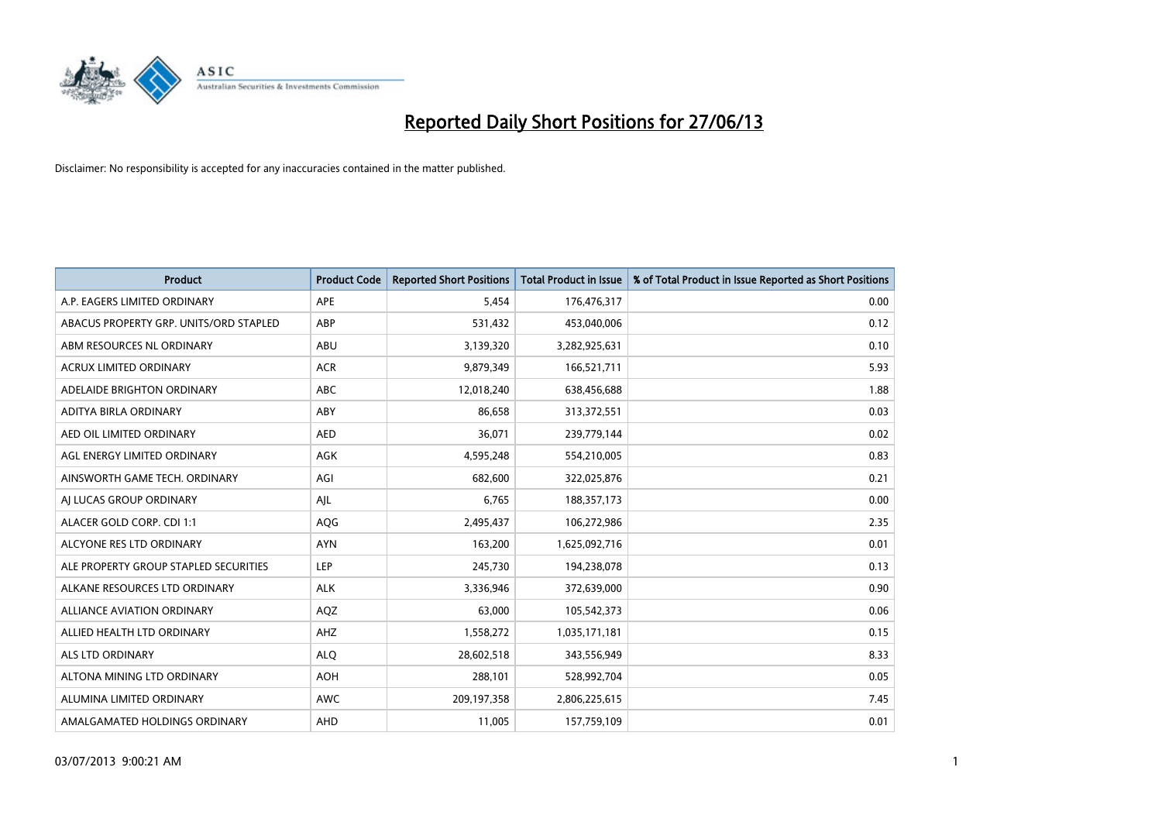

| <b>Product</b>                         | <b>Product Code</b> | <b>Reported Short Positions</b> | <b>Total Product in Issue</b> | % of Total Product in Issue Reported as Short Positions |
|----------------------------------------|---------------------|---------------------------------|-------------------------------|---------------------------------------------------------|
| A.P. EAGERS LIMITED ORDINARY           | <b>APE</b>          | 5,454                           | 176,476,317                   | 0.00                                                    |
| ABACUS PROPERTY GRP. UNITS/ORD STAPLED | ABP                 | 531,432                         | 453,040,006                   | 0.12                                                    |
| ABM RESOURCES NL ORDINARY              | ABU                 | 3,139,320                       | 3,282,925,631                 | 0.10                                                    |
| <b>ACRUX LIMITED ORDINARY</b>          | <b>ACR</b>          | 9,879,349                       | 166,521,711                   | 5.93                                                    |
| ADELAIDE BRIGHTON ORDINARY             | <b>ABC</b>          | 12,018,240                      | 638,456,688                   | 1.88                                                    |
| ADITYA BIRLA ORDINARY                  | ABY                 | 86,658                          | 313,372,551                   | 0.03                                                    |
| AED OIL LIMITED ORDINARY               | <b>AED</b>          | 36,071                          | 239,779,144                   | 0.02                                                    |
| AGL ENERGY LIMITED ORDINARY            | AGK                 | 4,595,248                       | 554,210,005                   | 0.83                                                    |
| AINSWORTH GAME TECH. ORDINARY          | AGI                 | 682,600                         | 322,025,876                   | 0.21                                                    |
| AI LUCAS GROUP ORDINARY                | AJL                 | 6,765                           | 188,357,173                   | 0.00                                                    |
| ALACER GOLD CORP. CDI 1:1              | AQG                 | 2,495,437                       | 106,272,986                   | 2.35                                                    |
| ALCYONE RES LTD ORDINARY               | <b>AYN</b>          | 163,200                         | 1,625,092,716                 | 0.01                                                    |
| ALE PROPERTY GROUP STAPLED SECURITIES  | <b>LEP</b>          | 245,730                         | 194,238,078                   | 0.13                                                    |
| ALKANE RESOURCES LTD ORDINARY          | <b>ALK</b>          | 3,336,946                       | 372,639,000                   | 0.90                                                    |
| <b>ALLIANCE AVIATION ORDINARY</b>      | AQZ                 | 63,000                          | 105,542,373                   | 0.06                                                    |
| ALLIED HEALTH LTD ORDINARY             | AHZ                 | 1,558,272                       | 1,035,171,181                 | 0.15                                                    |
| ALS LTD ORDINARY                       | <b>ALQ</b>          | 28,602,518                      | 343,556,949                   | 8.33                                                    |
| ALTONA MINING LTD ORDINARY             | <b>AOH</b>          | 288,101                         | 528,992,704                   | 0.05                                                    |
| ALUMINA LIMITED ORDINARY               | <b>AWC</b>          | 209,197,358                     | 2,806,225,615                 | 7.45                                                    |
| AMALGAMATED HOLDINGS ORDINARY          | <b>AHD</b>          | 11,005                          | 157,759,109                   | 0.01                                                    |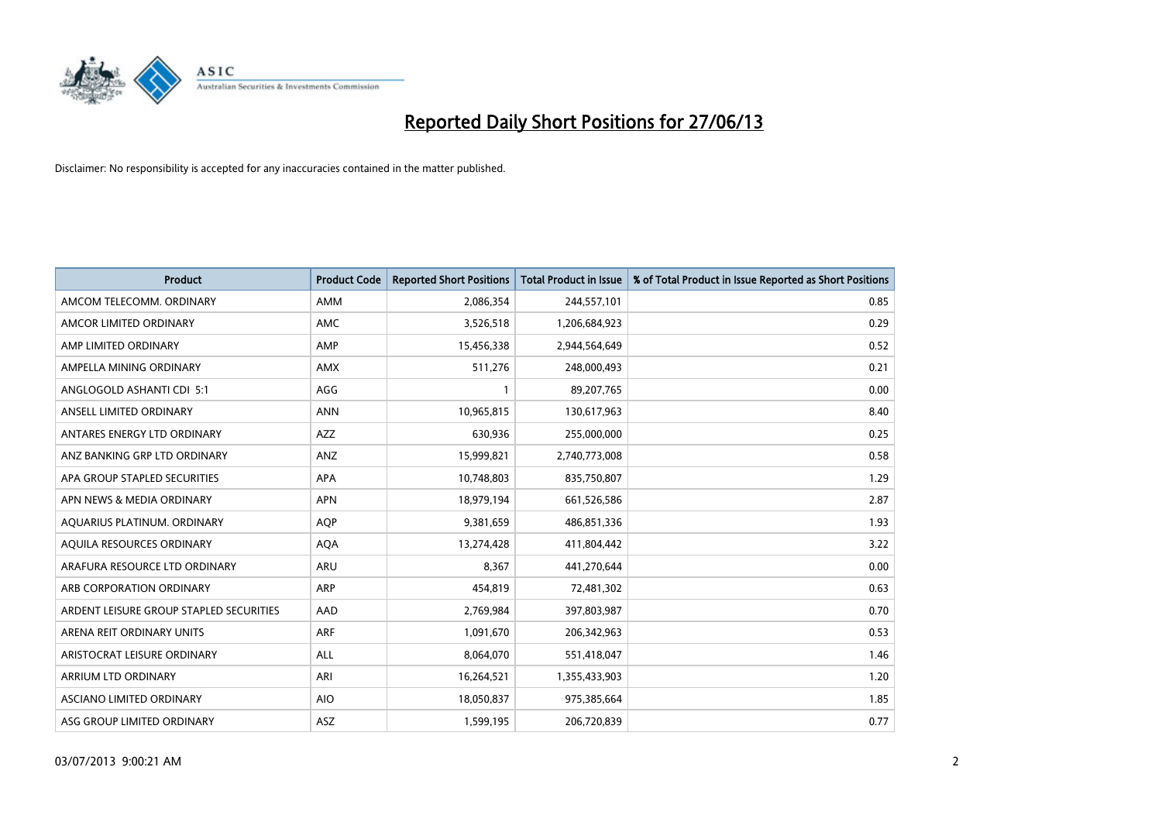

| <b>Product</b>                          | <b>Product Code</b> | <b>Reported Short Positions</b> | <b>Total Product in Issue</b> | % of Total Product in Issue Reported as Short Positions |
|-----------------------------------------|---------------------|---------------------------------|-------------------------------|---------------------------------------------------------|
| AMCOM TELECOMM, ORDINARY                | AMM                 | 2,086,354                       | 244,557,101                   | 0.85                                                    |
| AMCOR LIMITED ORDINARY                  | AMC                 | 3,526,518                       | 1,206,684,923                 | 0.29                                                    |
| AMP LIMITED ORDINARY                    | AMP                 | 15,456,338                      | 2,944,564,649                 | 0.52                                                    |
| AMPELLA MINING ORDINARY                 | AMX                 | 511,276                         | 248,000,493                   | 0.21                                                    |
| ANGLOGOLD ASHANTI CDI 5:1               | AGG                 | $\mathbf{1}$                    | 89,207,765                    | 0.00                                                    |
| ANSELL LIMITED ORDINARY                 | <b>ANN</b>          | 10,965,815                      | 130,617,963                   | 8.40                                                    |
| ANTARES ENERGY LTD ORDINARY             | AZZ                 | 630,936                         | 255,000,000                   | 0.25                                                    |
| ANZ BANKING GRP LTD ORDINARY            | ANZ                 | 15,999,821                      | 2,740,773,008                 | 0.58                                                    |
| APA GROUP STAPLED SECURITIES            | <b>APA</b>          | 10,748,803                      | 835,750,807                   | 1.29                                                    |
| APN NEWS & MEDIA ORDINARY               | <b>APN</b>          | 18,979,194                      | 661,526,586                   | 2.87                                                    |
| AQUARIUS PLATINUM. ORDINARY             | <b>AOP</b>          | 9,381,659                       | 486,851,336                   | 1.93                                                    |
| AQUILA RESOURCES ORDINARY               | <b>AQA</b>          | 13,274,428                      | 411,804,442                   | 3.22                                                    |
| ARAFURA RESOURCE LTD ORDINARY           | ARU                 | 8,367                           | 441,270,644                   | 0.00                                                    |
| ARB CORPORATION ORDINARY                | ARP                 | 454,819                         | 72,481,302                    | 0.63                                                    |
| ARDENT LEISURE GROUP STAPLED SECURITIES | AAD                 | 2,769,984                       | 397,803,987                   | 0.70                                                    |
| ARENA REIT ORDINARY UNITS               | <b>ARF</b>          | 1,091,670                       | 206,342,963                   | 0.53                                                    |
| ARISTOCRAT LEISURE ORDINARY             | ALL                 | 8,064,070                       | 551,418,047                   | 1.46                                                    |
| ARRIUM LTD ORDINARY                     | ARI                 | 16,264,521                      | 1,355,433,903                 | 1.20                                                    |
| ASCIANO LIMITED ORDINARY                | <b>AIO</b>          | 18,050,837                      | 975,385,664                   | 1.85                                                    |
| ASG GROUP LIMITED ORDINARY              | ASZ                 | 1,599,195                       | 206,720,839                   | 0.77                                                    |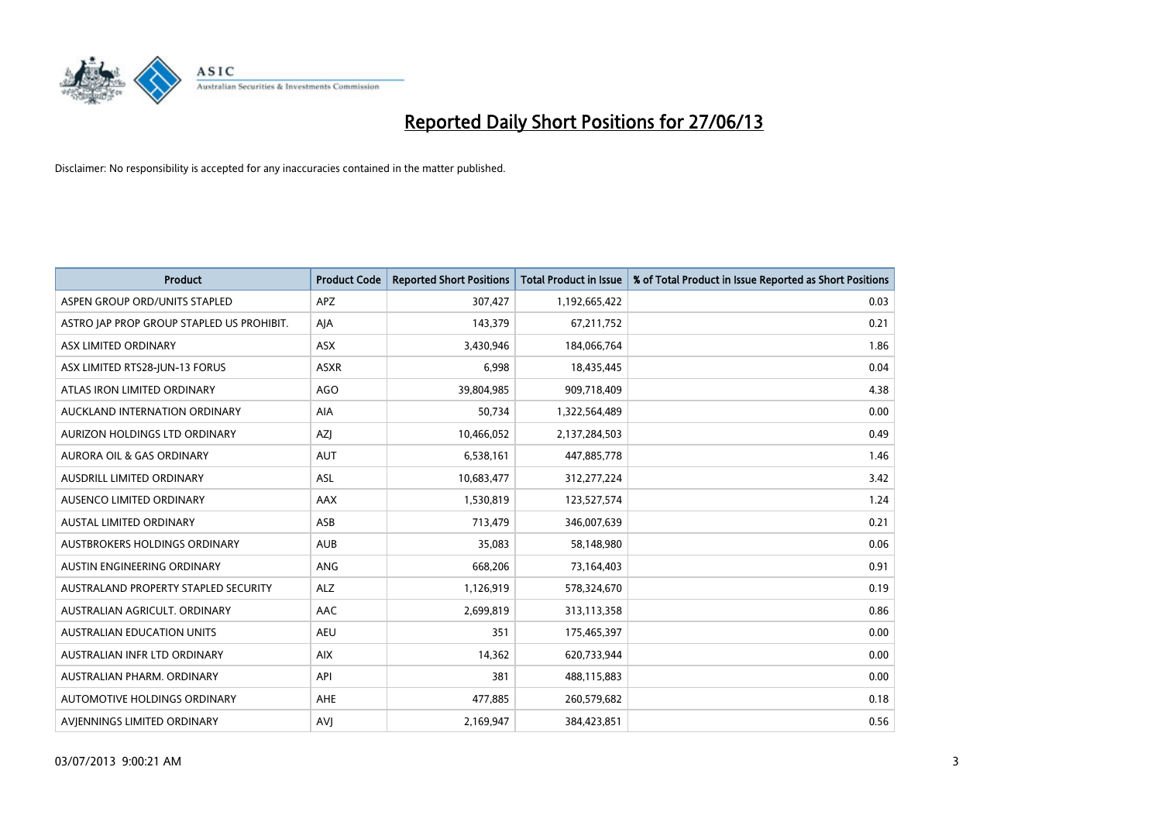

| <b>Product</b>                            | <b>Product Code</b> | <b>Reported Short Positions</b> | <b>Total Product in Issue</b> | % of Total Product in Issue Reported as Short Positions |
|-------------------------------------------|---------------------|---------------------------------|-------------------------------|---------------------------------------------------------|
| ASPEN GROUP ORD/UNITS STAPLED             | <b>APZ</b>          | 307,427                         | 1,192,665,422                 | 0.03                                                    |
| ASTRO JAP PROP GROUP STAPLED US PROHIBIT. | AJA                 | 143,379                         | 67,211,752                    | 0.21                                                    |
| ASX LIMITED ORDINARY                      | ASX                 | 3,430,946                       | 184,066,764                   | 1.86                                                    |
| ASX LIMITED RTS28-JUN-13 FORUS            | <b>ASXR</b>         | 6,998                           | 18,435,445                    | 0.04                                                    |
| ATLAS IRON LIMITED ORDINARY               | AGO                 | 39,804,985                      | 909,718,409                   | 4.38                                                    |
| AUCKLAND INTERNATION ORDINARY             | AIA                 | 50,734                          | 1,322,564,489                 | 0.00                                                    |
| AURIZON HOLDINGS LTD ORDINARY             | AZJ                 | 10,466,052                      | 2,137,284,503                 | 0.49                                                    |
| AURORA OIL & GAS ORDINARY                 | <b>AUT</b>          | 6,538,161                       | 447,885,778                   | 1.46                                                    |
| AUSDRILL LIMITED ORDINARY                 | <b>ASL</b>          | 10,683,477                      | 312,277,224                   | 3.42                                                    |
| AUSENCO LIMITED ORDINARY                  | AAX                 | 1,530,819                       | 123,527,574                   | 1.24                                                    |
| AUSTAL LIMITED ORDINARY                   | ASB                 | 713,479                         | 346,007,639                   | 0.21                                                    |
| AUSTBROKERS HOLDINGS ORDINARY             | <b>AUB</b>          | 35,083                          | 58,148,980                    | 0.06                                                    |
| AUSTIN ENGINEERING ORDINARY               | ANG                 | 668,206                         | 73,164,403                    | 0.91                                                    |
| AUSTRALAND PROPERTY STAPLED SECURITY      | <b>ALZ</b>          | 1,126,919                       | 578,324,670                   | 0.19                                                    |
| AUSTRALIAN AGRICULT, ORDINARY             | AAC                 | 2,699,819                       | 313,113,358                   | 0.86                                                    |
| AUSTRALIAN EDUCATION UNITS                | <b>AEU</b>          | 351                             | 175,465,397                   | 0.00                                                    |
| AUSTRALIAN INFR LTD ORDINARY              | <b>AIX</b>          | 14,362                          | 620,733,944                   | 0.00                                                    |
| AUSTRALIAN PHARM, ORDINARY                | API                 | 381                             | 488,115,883                   | 0.00                                                    |
| AUTOMOTIVE HOLDINGS ORDINARY              | AHE                 | 477,885                         | 260,579,682                   | 0.18                                                    |
| AVJENNINGS LIMITED ORDINARY               | <b>AVJ</b>          | 2,169,947                       | 384,423,851                   | 0.56                                                    |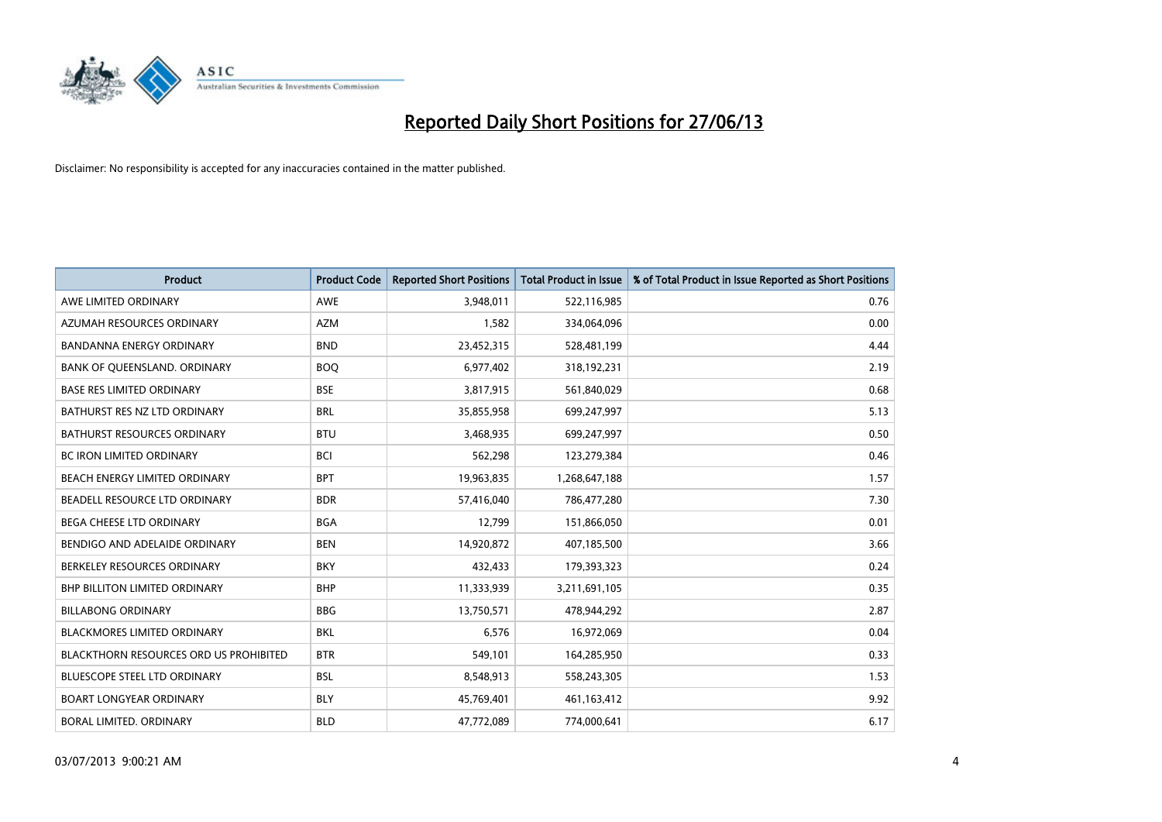

| <b>Product</b>                         | <b>Product Code</b> | <b>Reported Short Positions</b> | <b>Total Product in Issue</b> | % of Total Product in Issue Reported as Short Positions |
|----------------------------------------|---------------------|---------------------------------|-------------------------------|---------------------------------------------------------|
| AWE LIMITED ORDINARY                   | <b>AWE</b>          | 3,948,011                       | 522,116,985                   | 0.76                                                    |
| AZUMAH RESOURCES ORDINARY              | <b>AZM</b>          | 1,582                           | 334,064,096                   | 0.00                                                    |
| <b>BANDANNA ENERGY ORDINARY</b>        | <b>BND</b>          | 23,452,315                      | 528,481,199                   | 4.44                                                    |
| BANK OF QUEENSLAND. ORDINARY           | <b>BOO</b>          | 6,977,402                       | 318,192,231                   | 2.19                                                    |
| <b>BASE RES LIMITED ORDINARY</b>       | <b>BSE</b>          | 3,817,915                       | 561,840,029                   | 0.68                                                    |
| BATHURST RES NZ LTD ORDINARY           | <b>BRL</b>          | 35,855,958                      | 699,247,997                   | 5.13                                                    |
| BATHURST RESOURCES ORDINARY            | <b>BTU</b>          | 3,468,935                       | 699,247,997                   | 0.50                                                    |
| BC IRON LIMITED ORDINARY               | <b>BCI</b>          | 562,298                         | 123,279,384                   | 0.46                                                    |
| BEACH ENERGY LIMITED ORDINARY          | <b>BPT</b>          | 19,963,835                      | 1,268,647,188                 | 1.57                                                    |
| BEADELL RESOURCE LTD ORDINARY          | <b>BDR</b>          | 57,416,040                      | 786,477,280                   | 7.30                                                    |
| BEGA CHEESE LTD ORDINARY               | <b>BGA</b>          | 12,799                          | 151,866,050                   | 0.01                                                    |
| BENDIGO AND ADELAIDE ORDINARY          | <b>BEN</b>          | 14,920,872                      | 407,185,500                   | 3.66                                                    |
| BERKELEY RESOURCES ORDINARY            | <b>BKY</b>          | 432,433                         | 179,393,323                   | 0.24                                                    |
| <b>BHP BILLITON LIMITED ORDINARY</b>   | <b>BHP</b>          | 11,333,939                      | 3,211,691,105                 | 0.35                                                    |
| <b>BILLABONG ORDINARY</b>              | <b>BBG</b>          | 13,750,571                      | 478,944,292                   | 2.87                                                    |
| BLACKMORES LIMITED ORDINARY            | <b>BKL</b>          | 6,576                           | 16,972,069                    | 0.04                                                    |
| BLACKTHORN RESOURCES ORD US PROHIBITED | <b>BTR</b>          | 549,101                         | 164,285,950                   | 0.33                                                    |
| BLUESCOPE STEEL LTD ORDINARY           | <b>BSL</b>          | 8,548,913                       | 558,243,305                   | 1.53                                                    |
| <b>BOART LONGYEAR ORDINARY</b>         | <b>BLY</b>          | 45,769,401                      | 461,163,412                   | 9.92                                                    |
| BORAL LIMITED. ORDINARY                | <b>BLD</b>          | 47,772,089                      | 774,000,641                   | 6.17                                                    |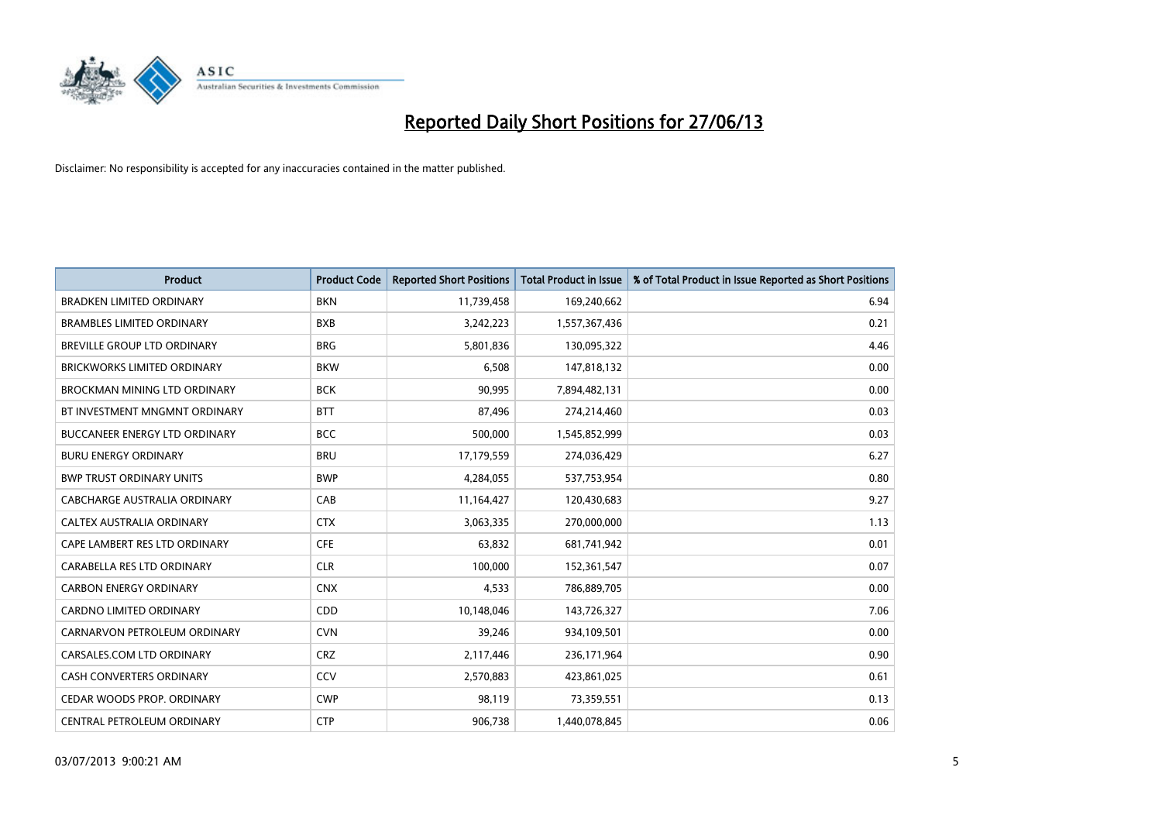

| <b>Product</b>                       | <b>Product Code</b> | <b>Reported Short Positions</b> | <b>Total Product in Issue</b> | % of Total Product in Issue Reported as Short Positions |
|--------------------------------------|---------------------|---------------------------------|-------------------------------|---------------------------------------------------------|
| <b>BRADKEN LIMITED ORDINARY</b>      | <b>BKN</b>          | 11,739,458                      | 169,240,662                   | 6.94                                                    |
| <b>BRAMBLES LIMITED ORDINARY</b>     | <b>BXB</b>          | 3,242,223                       | 1,557,367,436                 | 0.21                                                    |
| BREVILLE GROUP LTD ORDINARY          | <b>BRG</b>          | 5,801,836                       | 130,095,322                   | 4.46                                                    |
| <b>BRICKWORKS LIMITED ORDINARY</b>   | <b>BKW</b>          | 6,508                           | 147,818,132                   | 0.00                                                    |
| BROCKMAN MINING LTD ORDINARY         | <b>BCK</b>          | 90,995                          | 7,894,482,131                 | 0.00                                                    |
| BT INVESTMENT MNGMNT ORDINARY        | <b>BTT</b>          | 87,496                          | 274,214,460                   | 0.03                                                    |
| <b>BUCCANEER ENERGY LTD ORDINARY</b> | <b>BCC</b>          | 500,000                         | 1,545,852,999                 | 0.03                                                    |
| <b>BURU ENERGY ORDINARY</b>          | <b>BRU</b>          | 17,179,559                      | 274,036,429                   | 6.27                                                    |
| <b>BWP TRUST ORDINARY UNITS</b>      | <b>BWP</b>          | 4,284,055                       | 537,753,954                   | 0.80                                                    |
| CABCHARGE AUSTRALIA ORDINARY         | CAB                 | 11,164,427                      | 120,430,683                   | 9.27                                                    |
| CALTEX AUSTRALIA ORDINARY            | <b>CTX</b>          | 3,063,335                       | 270,000,000                   | 1.13                                                    |
| CAPE LAMBERT RES LTD ORDINARY        | <b>CFE</b>          | 63,832                          | 681,741,942                   | 0.01                                                    |
| CARABELLA RES LTD ORDINARY           | <b>CLR</b>          | 100,000                         | 152,361,547                   | 0.07                                                    |
| <b>CARBON ENERGY ORDINARY</b>        | <b>CNX</b>          | 4,533                           | 786,889,705                   | 0.00                                                    |
| <b>CARDNO LIMITED ORDINARY</b>       | CDD                 | 10,148,046                      | 143,726,327                   | 7.06                                                    |
| CARNARVON PETROLEUM ORDINARY         | <b>CVN</b>          | 39,246                          | 934,109,501                   | 0.00                                                    |
| CARSALES.COM LTD ORDINARY            | <b>CRZ</b>          | 2,117,446                       | 236,171,964                   | 0.90                                                    |
| CASH CONVERTERS ORDINARY             | CCV                 | 2,570,883                       | 423,861,025                   | 0.61                                                    |
| CEDAR WOODS PROP. ORDINARY           | <b>CWP</b>          | 98,119                          | 73,359,551                    | 0.13                                                    |
| CENTRAL PETROLEUM ORDINARY           | <b>CTP</b>          | 906,738                         | 1,440,078,845                 | 0.06                                                    |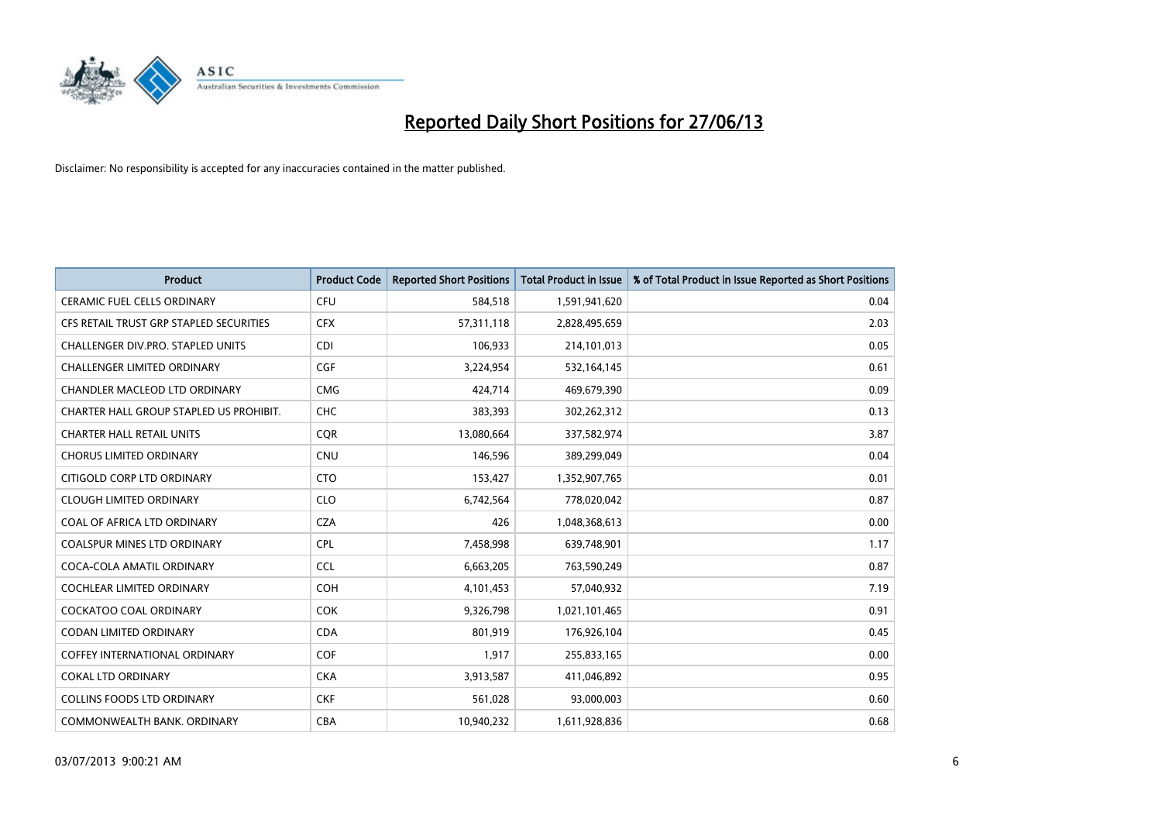

| <b>Product</b>                          | <b>Product Code</b> | <b>Reported Short Positions</b> | <b>Total Product in Issue</b> | % of Total Product in Issue Reported as Short Positions |
|-----------------------------------------|---------------------|---------------------------------|-------------------------------|---------------------------------------------------------|
| <b>CERAMIC FUEL CELLS ORDINARY</b>      | <b>CFU</b>          | 584,518                         | 1,591,941,620                 | 0.04                                                    |
| CFS RETAIL TRUST GRP STAPLED SECURITIES | <b>CFX</b>          | 57,311,118                      | 2,828,495,659                 | 2.03                                                    |
| CHALLENGER DIV.PRO. STAPLED UNITS       | <b>CDI</b>          | 106,933                         | 214,101,013                   | 0.05                                                    |
| <b>CHALLENGER LIMITED ORDINARY</b>      | <b>CGF</b>          | 3,224,954                       | 532,164,145                   | 0.61                                                    |
| CHANDLER MACLEOD LTD ORDINARY           | <b>CMG</b>          | 424,714                         | 469,679,390                   | 0.09                                                    |
| CHARTER HALL GROUP STAPLED US PROHIBIT. | <b>CHC</b>          | 383,393                         | 302,262,312                   | 0.13                                                    |
| <b>CHARTER HALL RETAIL UNITS</b>        | <b>CQR</b>          | 13,080,664                      | 337,582,974                   | 3.87                                                    |
| <b>CHORUS LIMITED ORDINARY</b>          | <b>CNU</b>          | 146,596                         | 389,299,049                   | 0.04                                                    |
| CITIGOLD CORP LTD ORDINARY              | <b>CTO</b>          | 153,427                         | 1,352,907,765                 | 0.01                                                    |
| <b>CLOUGH LIMITED ORDINARY</b>          | <b>CLO</b>          | 6,742,564                       | 778,020,042                   | 0.87                                                    |
| COAL OF AFRICA LTD ORDINARY             | <b>CZA</b>          | 426                             | 1,048,368,613                 | 0.00                                                    |
| COALSPUR MINES LTD ORDINARY             | <b>CPL</b>          | 7,458,998                       | 639,748,901                   | 1.17                                                    |
| COCA-COLA AMATIL ORDINARY               | <b>CCL</b>          | 6,663,205                       | 763,590,249                   | 0.87                                                    |
| <b>COCHLEAR LIMITED ORDINARY</b>        | <b>COH</b>          | 4,101,453                       | 57,040,932                    | 7.19                                                    |
| <b>COCKATOO COAL ORDINARY</b>           | COK                 | 9,326,798                       | 1,021,101,465                 | 0.91                                                    |
| <b>CODAN LIMITED ORDINARY</b>           | <b>CDA</b>          | 801,919                         | 176,926,104                   | 0.45                                                    |
| <b>COFFEY INTERNATIONAL ORDINARY</b>    | <b>COF</b>          | 1,917                           | 255,833,165                   | 0.00                                                    |
| <b>COKAL LTD ORDINARY</b>               | <b>CKA</b>          | 3,913,587                       | 411,046,892                   | 0.95                                                    |
| <b>COLLINS FOODS LTD ORDINARY</b>       | <b>CKF</b>          | 561,028                         | 93,000,003                    | 0.60                                                    |
| COMMONWEALTH BANK, ORDINARY             | <b>CBA</b>          | 10,940,232                      | 1,611,928,836                 | 0.68                                                    |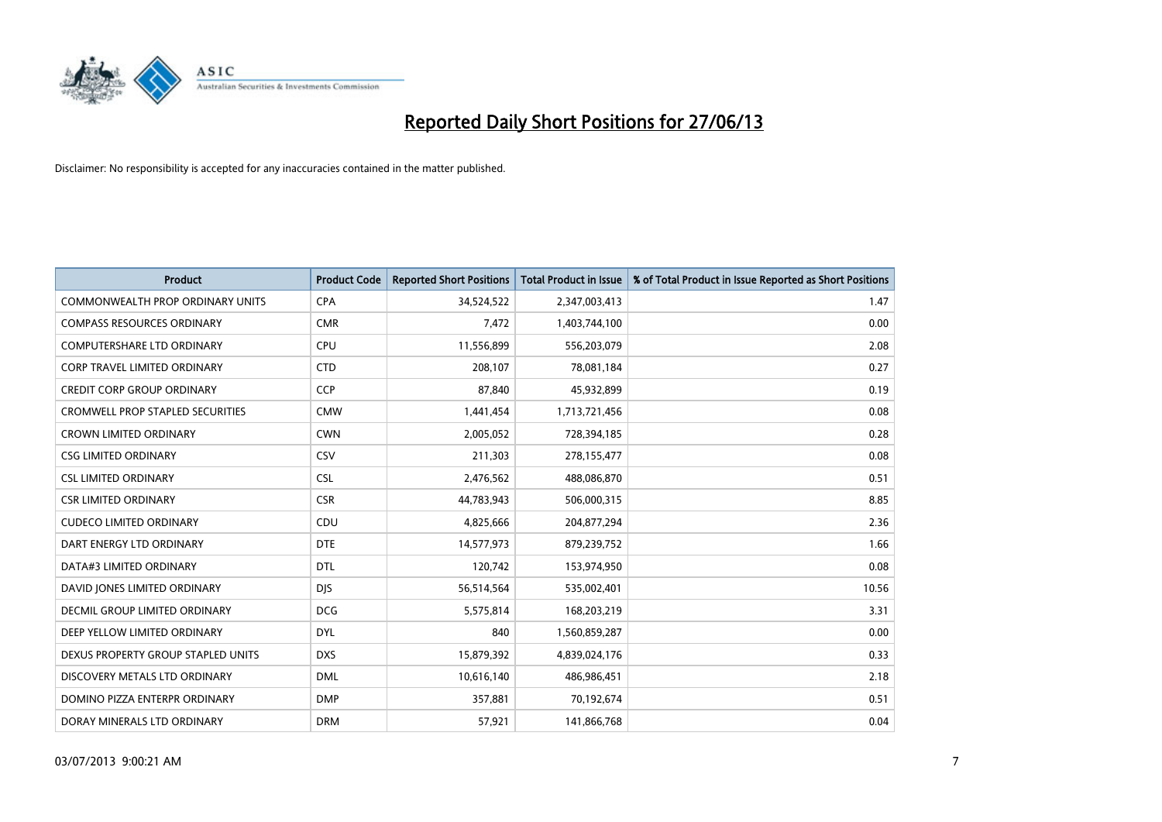

| <b>Product</b>                          | <b>Product Code</b> | <b>Reported Short Positions</b> | <b>Total Product in Issue</b> | % of Total Product in Issue Reported as Short Positions |
|-----------------------------------------|---------------------|---------------------------------|-------------------------------|---------------------------------------------------------|
| <b>COMMONWEALTH PROP ORDINARY UNITS</b> | <b>CPA</b>          | 34,524,522                      | 2,347,003,413                 | 1.47                                                    |
| <b>COMPASS RESOURCES ORDINARY</b>       | <b>CMR</b>          | 7,472                           | 1,403,744,100                 | 0.00                                                    |
| <b>COMPUTERSHARE LTD ORDINARY</b>       | <b>CPU</b>          | 11,556,899                      | 556,203,079                   | 2.08                                                    |
| CORP TRAVEL LIMITED ORDINARY            | <b>CTD</b>          | 208,107                         | 78,081,184                    | 0.27                                                    |
| <b>CREDIT CORP GROUP ORDINARY</b>       | <b>CCP</b>          | 87,840                          | 45,932,899                    | 0.19                                                    |
| <b>CROMWELL PROP STAPLED SECURITIES</b> | <b>CMW</b>          | 1,441,454                       | 1,713,721,456                 | 0.08                                                    |
| <b>CROWN LIMITED ORDINARY</b>           | <b>CWN</b>          | 2,005,052                       | 728,394,185                   | 0.28                                                    |
| <b>CSG LIMITED ORDINARY</b>             | CSV                 | 211,303                         | 278,155,477                   | 0.08                                                    |
| <b>CSL LIMITED ORDINARY</b>             | <b>CSL</b>          | 2,476,562                       | 488,086,870                   | 0.51                                                    |
| <b>CSR LIMITED ORDINARY</b>             | <b>CSR</b>          | 44,783,943                      | 506,000,315                   | 8.85                                                    |
| <b>CUDECO LIMITED ORDINARY</b>          | CDU                 | 4,825,666                       | 204,877,294                   | 2.36                                                    |
| DART ENERGY LTD ORDINARY                | <b>DTE</b>          | 14,577,973                      | 879,239,752                   | 1.66                                                    |
| DATA#3 LIMITED ORDINARY                 | DTL                 | 120,742                         | 153,974,950                   | 0.08                                                    |
| DAVID JONES LIMITED ORDINARY            | <b>DJS</b>          | 56,514,564                      | 535,002,401                   | 10.56                                                   |
| <b>DECMIL GROUP LIMITED ORDINARY</b>    | <b>DCG</b>          | 5,575,814                       | 168,203,219                   | 3.31                                                    |
| DEEP YELLOW LIMITED ORDINARY            | <b>DYL</b>          | 840                             | 1,560,859,287                 | 0.00                                                    |
| DEXUS PROPERTY GROUP STAPLED UNITS      | <b>DXS</b>          | 15,879,392                      | 4,839,024,176                 | 0.33                                                    |
| DISCOVERY METALS LTD ORDINARY           | <b>DML</b>          | 10,616,140                      | 486,986,451                   | 2.18                                                    |
| DOMINO PIZZA ENTERPR ORDINARY           | <b>DMP</b>          | 357,881                         | 70,192,674                    | 0.51                                                    |
| DORAY MINERALS LTD ORDINARY             | <b>DRM</b>          | 57,921                          | 141,866,768                   | 0.04                                                    |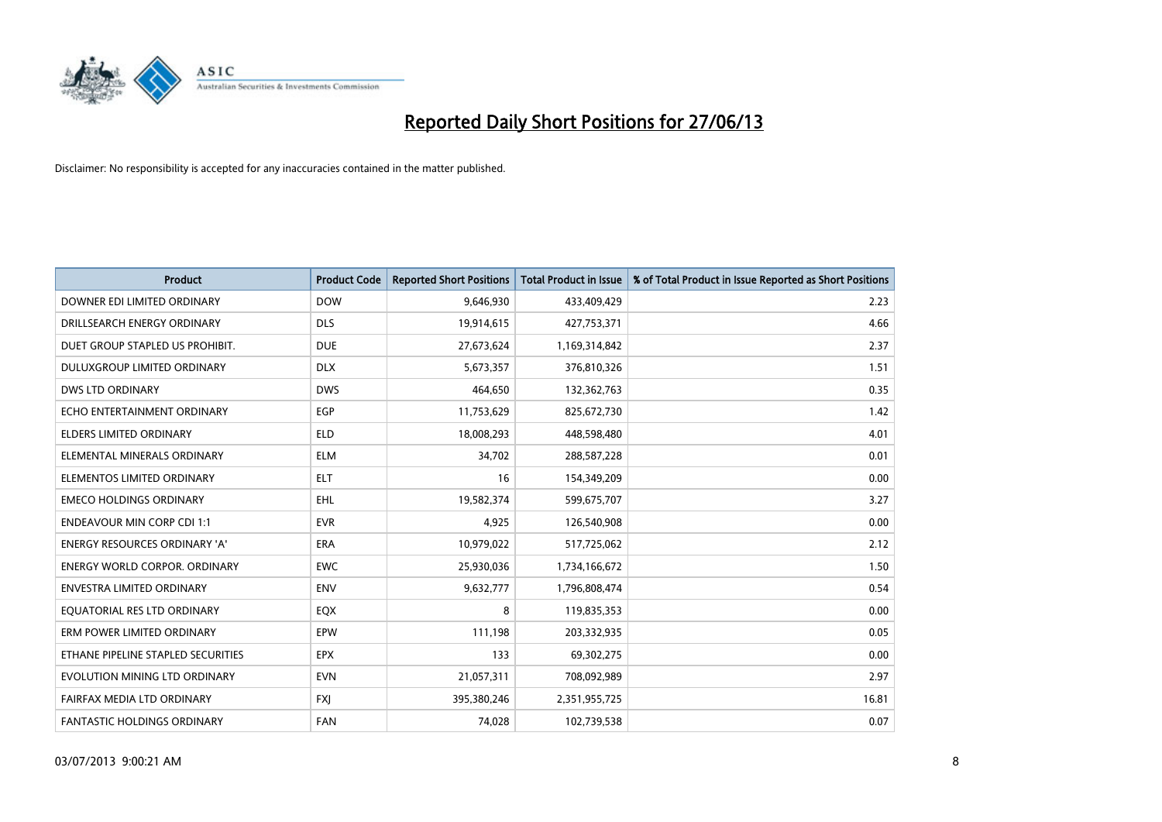

| <b>Product</b>                       | <b>Product Code</b> | <b>Reported Short Positions</b> | <b>Total Product in Issue</b> | % of Total Product in Issue Reported as Short Positions |
|--------------------------------------|---------------------|---------------------------------|-------------------------------|---------------------------------------------------------|
| DOWNER EDI LIMITED ORDINARY          | <b>DOW</b>          | 9,646,930                       | 433,409,429                   | 2.23                                                    |
| DRILLSEARCH ENERGY ORDINARY          | <b>DLS</b>          | 19,914,615                      | 427,753,371                   | 4.66                                                    |
| DUET GROUP STAPLED US PROHIBIT.      | <b>DUE</b>          | 27,673,624                      | 1,169,314,842                 | 2.37                                                    |
| DULUXGROUP LIMITED ORDINARY          | <b>DLX</b>          | 5,673,357                       | 376,810,326                   | 1.51                                                    |
| <b>DWS LTD ORDINARY</b>              | <b>DWS</b>          | 464,650                         | 132,362,763                   | 0.35                                                    |
| ECHO ENTERTAINMENT ORDINARY          | EGP                 | 11,753,629                      | 825,672,730                   | 1.42                                                    |
| <b>ELDERS LIMITED ORDINARY</b>       | <b>ELD</b>          | 18,008,293                      | 448,598,480                   | 4.01                                                    |
| ELEMENTAL MINERALS ORDINARY          | <b>ELM</b>          | 34,702                          | 288,587,228                   | 0.01                                                    |
| ELEMENTOS LIMITED ORDINARY           | ELT                 | 16                              | 154,349,209                   | 0.00                                                    |
| <b>EMECO HOLDINGS ORDINARY</b>       | <b>EHL</b>          | 19,582,374                      | 599,675,707                   | 3.27                                                    |
| <b>ENDEAVOUR MIN CORP CDI 1:1</b>    | <b>EVR</b>          | 4,925                           | 126,540,908                   | 0.00                                                    |
| <b>ENERGY RESOURCES ORDINARY 'A'</b> | ERA                 | 10,979,022                      | 517,725,062                   | 2.12                                                    |
| <b>ENERGY WORLD CORPOR. ORDINARY</b> | <b>EWC</b>          | 25,930,036                      | 1,734,166,672                 | 1.50                                                    |
| <b>ENVESTRA LIMITED ORDINARY</b>     | <b>ENV</b>          | 9,632,777                       | 1,796,808,474                 | 0.54                                                    |
| EQUATORIAL RES LTD ORDINARY          | EQX                 | 8                               | 119,835,353                   | 0.00                                                    |
| ERM POWER LIMITED ORDINARY           | EPW                 | 111,198                         | 203,332,935                   | 0.05                                                    |
| ETHANE PIPELINE STAPLED SECURITIES   | <b>EPX</b>          | 133                             | 69,302,275                    | 0.00                                                    |
| EVOLUTION MINING LTD ORDINARY        | <b>EVN</b>          | 21,057,311                      | 708,092,989                   | 2.97                                                    |
| FAIRFAX MEDIA LTD ORDINARY           | <b>FXJ</b>          | 395,380,246                     | 2,351,955,725                 | 16.81                                                   |
| <b>FANTASTIC HOLDINGS ORDINARY</b>   | <b>FAN</b>          | 74,028                          | 102,739,538                   | 0.07                                                    |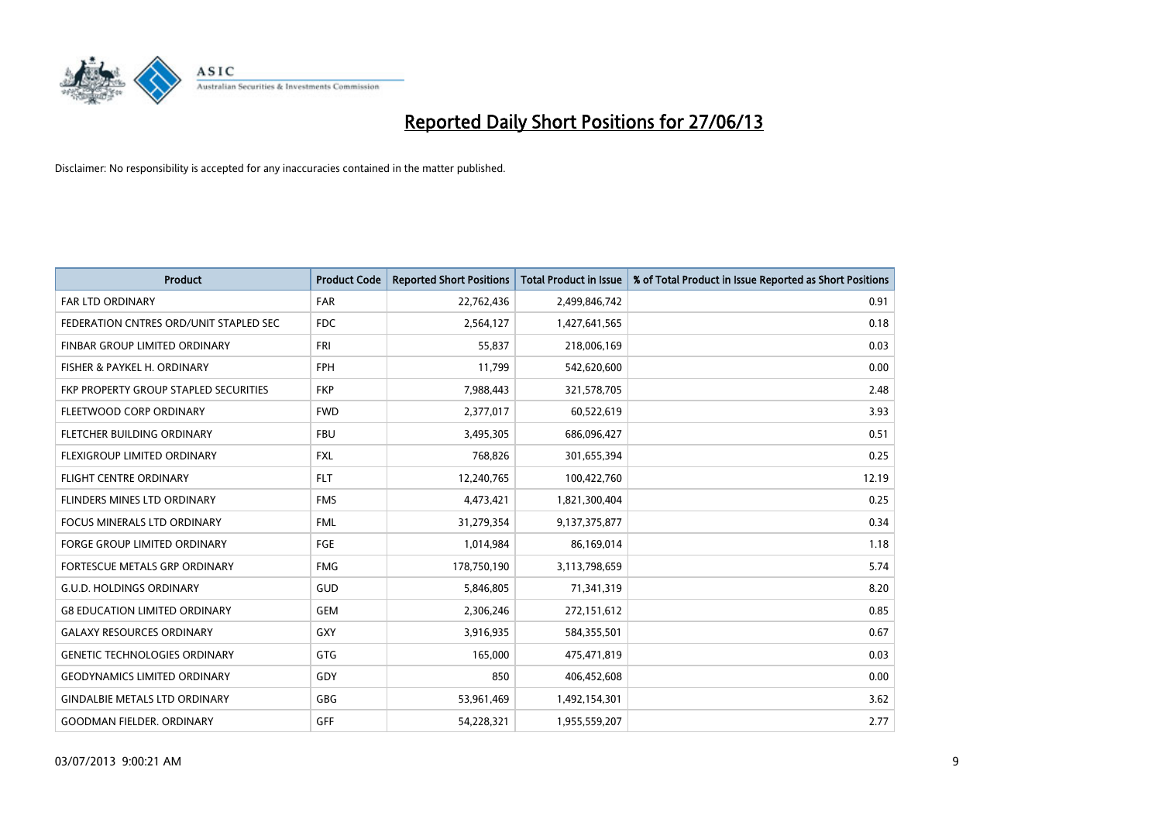

| <b>Product</b>                               | <b>Product Code</b> | <b>Reported Short Positions</b> | <b>Total Product in Issue</b> | % of Total Product in Issue Reported as Short Positions |
|----------------------------------------------|---------------------|---------------------------------|-------------------------------|---------------------------------------------------------|
| <b>FAR LTD ORDINARY</b>                      | <b>FAR</b>          | 22,762,436                      | 2,499,846,742                 | 0.91                                                    |
| FEDERATION CNTRES ORD/UNIT STAPLED SEC       | <b>FDC</b>          | 2,564,127                       | 1,427,641,565                 | 0.18                                                    |
| <b>FINBAR GROUP LIMITED ORDINARY</b>         | <b>FRI</b>          | 55,837                          | 218,006,169                   | 0.03                                                    |
| FISHER & PAYKEL H. ORDINARY                  | <b>FPH</b>          | 11,799                          | 542,620,600                   | 0.00                                                    |
| <b>FKP PROPERTY GROUP STAPLED SECURITIES</b> | <b>FKP</b>          | 7,988,443                       | 321,578,705                   | 2.48                                                    |
| FLEETWOOD CORP ORDINARY                      | <b>FWD</b>          | 2,377,017                       | 60,522,619                    | 3.93                                                    |
| FLETCHER BUILDING ORDINARY                   | <b>FBU</b>          | 3,495,305                       | 686,096,427                   | 0.51                                                    |
| FLEXIGROUP LIMITED ORDINARY                  | <b>FXL</b>          | 768,826                         | 301,655,394                   | 0.25                                                    |
| <b>FLIGHT CENTRE ORDINARY</b>                | <b>FLT</b>          | 12,240,765                      | 100,422,760                   | 12.19                                                   |
| FLINDERS MINES LTD ORDINARY                  | <b>FMS</b>          | 4,473,421                       | 1,821,300,404                 | 0.25                                                    |
| FOCUS MINERALS LTD ORDINARY                  | <b>FML</b>          | 31,279,354                      | 9,137,375,877                 | 0.34                                                    |
| <b>FORGE GROUP LIMITED ORDINARY</b>          | FGE                 | 1,014,984                       | 86,169,014                    | 1.18                                                    |
| FORTESCUE METALS GRP ORDINARY                | <b>FMG</b>          | 178,750,190                     | 3,113,798,659                 | 5.74                                                    |
| <b>G.U.D. HOLDINGS ORDINARY</b>              | GUD                 | 5,846,805                       | 71,341,319                    | 8.20                                                    |
| <b>G8 EDUCATION LIMITED ORDINARY</b>         | <b>GEM</b>          | 2,306,246                       | 272,151,612                   | 0.85                                                    |
| <b>GALAXY RESOURCES ORDINARY</b>             | GXY                 | 3,916,935                       | 584,355,501                   | 0.67                                                    |
| <b>GENETIC TECHNOLOGIES ORDINARY</b>         | GTG                 | 165,000                         | 475,471,819                   | 0.03                                                    |
| <b>GEODYNAMICS LIMITED ORDINARY</b>          | GDY                 | 850                             | 406,452,608                   | 0.00                                                    |
| <b>GINDALBIE METALS LTD ORDINARY</b>         | GBG                 | 53,961,469                      | 1,492,154,301                 | 3.62                                                    |
| <b>GOODMAN FIELDER, ORDINARY</b>             | <b>GFF</b>          | 54,228,321                      | 1,955,559,207                 | 2.77                                                    |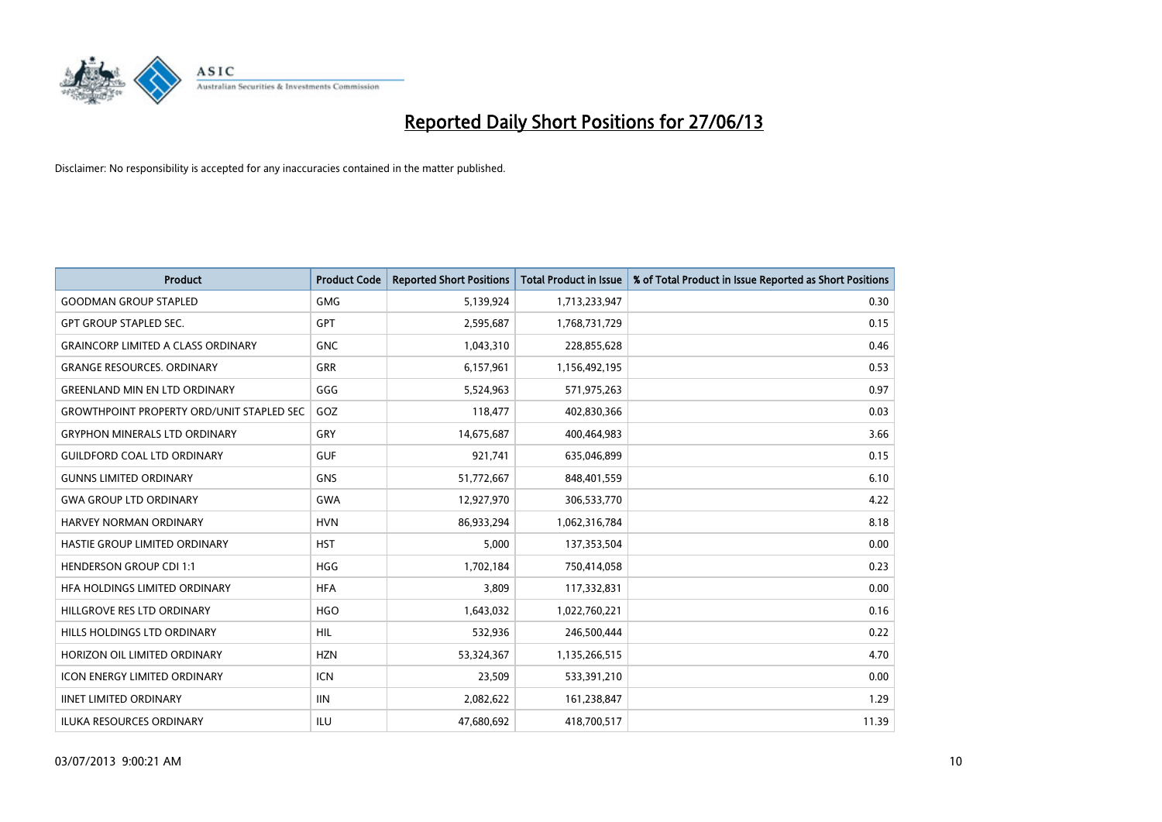

| Product                                          | <b>Product Code</b> | <b>Reported Short Positions</b> | <b>Total Product in Issue</b> | % of Total Product in Issue Reported as Short Positions |
|--------------------------------------------------|---------------------|---------------------------------|-------------------------------|---------------------------------------------------------|
| <b>GOODMAN GROUP STAPLED</b>                     | <b>GMG</b>          | 5,139,924                       | 1,713,233,947                 | 0.30                                                    |
| <b>GPT GROUP STAPLED SEC.</b>                    | <b>GPT</b>          | 2,595,687                       | 1,768,731,729                 | 0.15                                                    |
| <b>GRAINCORP LIMITED A CLASS ORDINARY</b>        | <b>GNC</b>          | 1,043,310                       | 228,855,628                   | 0.46                                                    |
| <b>GRANGE RESOURCES. ORDINARY</b>                | GRR                 | 6,157,961                       | 1,156,492,195                 | 0.53                                                    |
| <b>GREENLAND MIN EN LTD ORDINARY</b>             | GGG                 | 5,524,963                       | 571,975,263                   | 0.97                                                    |
| <b>GROWTHPOINT PROPERTY ORD/UNIT STAPLED SEC</b> | GOZ                 | 118,477                         | 402,830,366                   | 0.03                                                    |
| <b>GRYPHON MINERALS LTD ORDINARY</b>             | GRY                 | 14,675,687                      | 400,464,983                   | 3.66                                                    |
| <b>GUILDFORD COAL LTD ORDINARY</b>               | <b>GUF</b>          | 921,741                         | 635,046,899                   | 0.15                                                    |
| <b>GUNNS LIMITED ORDINARY</b>                    | <b>GNS</b>          | 51,772,667                      | 848,401,559                   | 6.10                                                    |
| <b>GWA GROUP LTD ORDINARY</b>                    | <b>GWA</b>          | 12,927,970                      | 306,533,770                   | 4.22                                                    |
| <b>HARVEY NORMAN ORDINARY</b>                    | <b>HVN</b>          | 86,933,294                      | 1,062,316,784                 | 8.18                                                    |
| HASTIE GROUP LIMITED ORDINARY                    | HST                 | 5,000                           | 137,353,504                   | 0.00                                                    |
| <b>HENDERSON GROUP CDI 1:1</b>                   | <b>HGG</b>          | 1,702,184                       | 750,414,058                   | 0.23                                                    |
| HFA HOLDINGS LIMITED ORDINARY                    | <b>HFA</b>          | 3,809                           | 117,332,831                   | 0.00                                                    |
| HILLGROVE RES LTD ORDINARY                       | <b>HGO</b>          | 1,643,032                       | 1,022,760,221                 | 0.16                                                    |
| HILLS HOLDINGS LTD ORDINARY                      | <b>HIL</b>          | 532,936                         | 246,500,444                   | 0.22                                                    |
| HORIZON OIL LIMITED ORDINARY                     | <b>HZN</b>          | 53,324,367                      | 1,135,266,515                 | 4.70                                                    |
| ICON ENERGY LIMITED ORDINARY                     | <b>ICN</b>          | 23,509                          | 533,391,210                   | 0.00                                                    |
| <b>IINET LIMITED ORDINARY</b>                    | <b>IIN</b>          | 2,082,622                       | 161,238,847                   | 1.29                                                    |
| <b>ILUKA RESOURCES ORDINARY</b>                  | ILU                 | 47,680,692                      | 418,700,517                   | 11.39                                                   |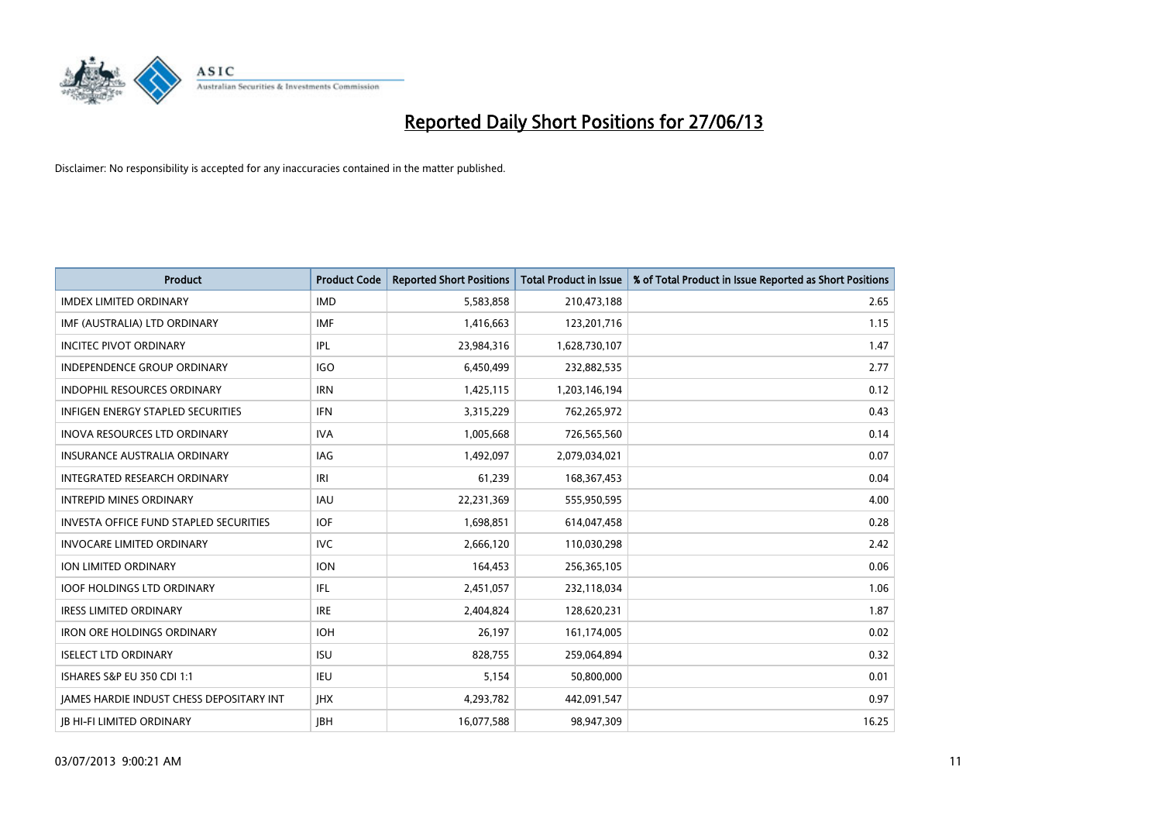

| <b>Product</b>                                  | <b>Product Code</b> | <b>Reported Short Positions</b> | <b>Total Product in Issue</b> | % of Total Product in Issue Reported as Short Positions |
|-------------------------------------------------|---------------------|---------------------------------|-------------------------------|---------------------------------------------------------|
| <b>IMDEX LIMITED ORDINARY</b>                   | <b>IMD</b>          | 5,583,858                       | 210,473,188                   | 2.65                                                    |
| IMF (AUSTRALIA) LTD ORDINARY                    | <b>IMF</b>          | 1,416,663                       | 123,201,716                   | 1.15                                                    |
| <b>INCITEC PIVOT ORDINARY</b>                   | IPL                 | 23,984,316                      | 1,628,730,107                 | 1.47                                                    |
| INDEPENDENCE GROUP ORDINARY                     | <b>IGO</b>          | 6,450,499                       | 232,882,535                   | 2.77                                                    |
| <b>INDOPHIL RESOURCES ORDINARY</b>              | <b>IRN</b>          | 1,425,115                       | 1,203,146,194                 | 0.12                                                    |
| <b>INFIGEN ENERGY STAPLED SECURITIES</b>        | <b>IFN</b>          | 3,315,229                       | 762,265,972                   | 0.43                                                    |
| <b>INOVA RESOURCES LTD ORDINARY</b>             | <b>IVA</b>          | 1,005,668                       | 726,565,560                   | 0.14                                                    |
| <b>INSURANCE AUSTRALIA ORDINARY</b>             | IAG                 | 1,492,097                       | 2,079,034,021                 | 0.07                                                    |
| INTEGRATED RESEARCH ORDINARY                    | IRI                 | 61,239                          | 168,367,453                   | 0.04                                                    |
| <b>INTREPID MINES ORDINARY</b>                  | <b>IAU</b>          | 22,231,369                      | 555,950,595                   | 4.00                                                    |
| <b>INVESTA OFFICE FUND STAPLED SECURITIES</b>   | <b>IOF</b>          | 1,698,851                       | 614,047,458                   | 0.28                                                    |
| <b>INVOCARE LIMITED ORDINARY</b>                | <b>IVC</b>          | 2,666,120                       | 110,030,298                   | 2.42                                                    |
| <b>ION LIMITED ORDINARY</b>                     | <b>ION</b>          | 164,453                         | 256,365,105                   | 0.06                                                    |
| <b>IOOF HOLDINGS LTD ORDINARY</b>               | IFL                 | 2,451,057                       | 232,118,034                   | 1.06                                                    |
| <b>IRESS LIMITED ORDINARY</b>                   | <b>IRE</b>          | 2,404,824                       | 128,620,231                   | 1.87                                                    |
| <b>IRON ORE HOLDINGS ORDINARY</b>               | <b>IOH</b>          | 26,197                          | 161,174,005                   | 0.02                                                    |
| <b>ISELECT LTD ORDINARY</b>                     | <b>ISU</b>          | 828,755                         | 259,064,894                   | 0.32                                                    |
| <b>ISHARES S&amp;P EU 350 CDI 1:1</b>           | IEU                 | 5,154                           | 50,800,000                    | 0.01                                                    |
| <b>IAMES HARDIE INDUST CHESS DEPOSITARY INT</b> | <b>IHX</b>          | 4,293,782                       | 442,091,547                   | 0.97                                                    |
| <b>IB HI-FI LIMITED ORDINARY</b>                | <b>JBH</b>          | 16,077,588                      | 98,947,309                    | 16.25                                                   |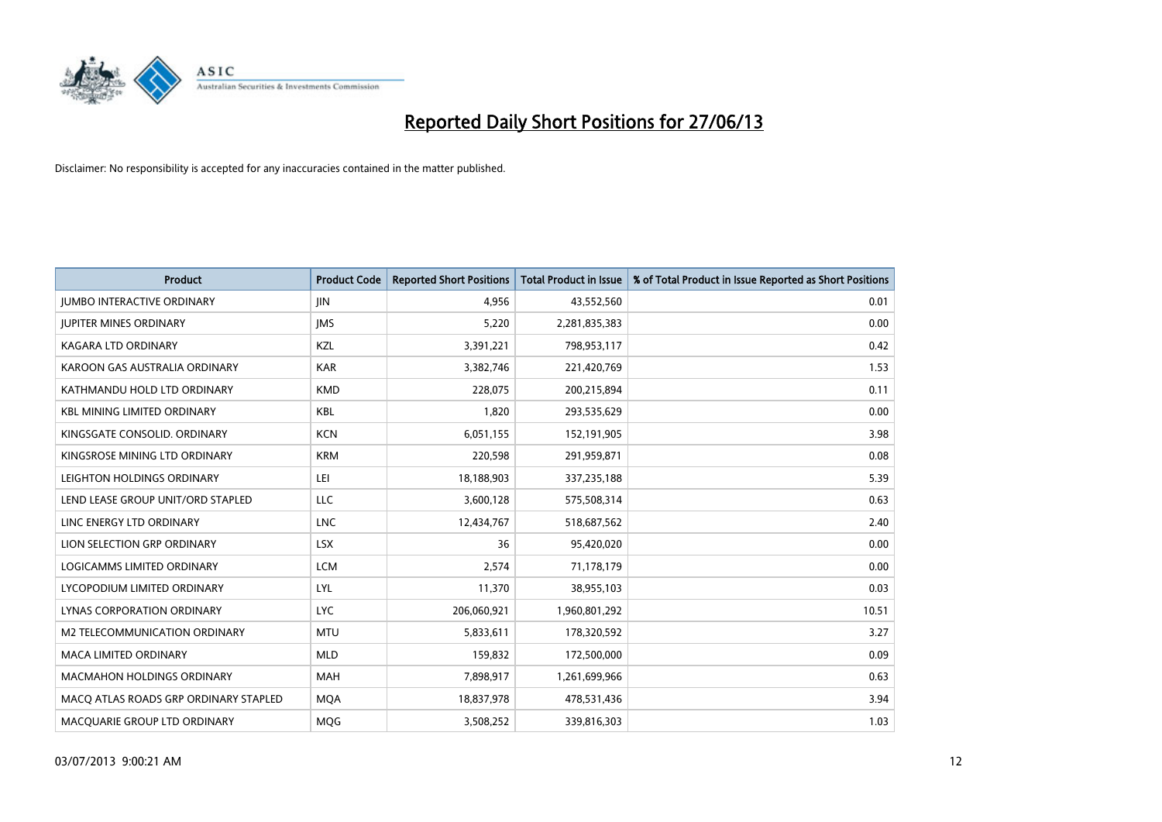

| <b>Product</b>                        | <b>Product Code</b> | <b>Reported Short Positions</b> | <b>Total Product in Issue</b> | % of Total Product in Issue Reported as Short Positions |
|---------------------------------------|---------------------|---------------------------------|-------------------------------|---------------------------------------------------------|
| <b>JUMBO INTERACTIVE ORDINARY</b>     | <b>JIN</b>          | 4,956                           | 43,552,560                    | 0.01                                                    |
| <b>JUPITER MINES ORDINARY</b>         | <b>IMS</b>          | 5,220                           | 2,281,835,383                 | 0.00                                                    |
| <b>KAGARA LTD ORDINARY</b>            | <b>KZL</b>          | 3,391,221                       | 798,953,117                   | 0.42                                                    |
| KAROON GAS AUSTRALIA ORDINARY         | <b>KAR</b>          | 3,382,746                       | 221,420,769                   | 1.53                                                    |
| KATHMANDU HOLD LTD ORDINARY           | <b>KMD</b>          | 228,075                         | 200,215,894                   | 0.11                                                    |
| <b>KBL MINING LIMITED ORDINARY</b>    | <b>KBL</b>          | 1,820                           | 293,535,629                   | 0.00                                                    |
| KINGSGATE CONSOLID. ORDINARY          | <b>KCN</b>          | 6,051,155                       | 152,191,905                   | 3.98                                                    |
| KINGSROSE MINING LTD ORDINARY         | <b>KRM</b>          | 220,598                         | 291,959,871                   | 0.08                                                    |
| LEIGHTON HOLDINGS ORDINARY            | LEI                 | 18,188,903                      | 337,235,188                   | 5.39                                                    |
| LEND LEASE GROUP UNIT/ORD STAPLED     | <b>LLC</b>          | 3,600,128                       | 575,508,314                   | 0.63                                                    |
| LINC ENERGY LTD ORDINARY              | <b>LNC</b>          | 12,434,767                      | 518,687,562                   | 2.40                                                    |
| LION SELECTION GRP ORDINARY           | <b>LSX</b>          | 36                              | 95,420,020                    | 0.00                                                    |
| LOGICAMMS LIMITED ORDINARY            | <b>LCM</b>          | 2,574                           | 71,178,179                    | 0.00                                                    |
| LYCOPODIUM LIMITED ORDINARY           | LYL                 | 11,370                          | 38,955,103                    | 0.03                                                    |
| LYNAS CORPORATION ORDINARY            | <b>LYC</b>          | 206,060,921                     | 1,960,801,292                 | 10.51                                                   |
| M2 TELECOMMUNICATION ORDINARY         | <b>MTU</b>          | 5,833,611                       | 178,320,592                   | 3.27                                                    |
| MACA LIMITED ORDINARY                 | <b>MLD</b>          | 159,832                         | 172,500,000                   | 0.09                                                    |
| MACMAHON HOLDINGS ORDINARY            | <b>MAH</b>          | 7,898,917                       | 1,261,699,966                 | 0.63                                                    |
| MACO ATLAS ROADS GRP ORDINARY STAPLED | <b>MOA</b>          | 18,837,978                      | 478,531,436                   | 3.94                                                    |
| MACQUARIE GROUP LTD ORDINARY          | MQG                 | 3,508,252                       | 339,816,303                   | 1.03                                                    |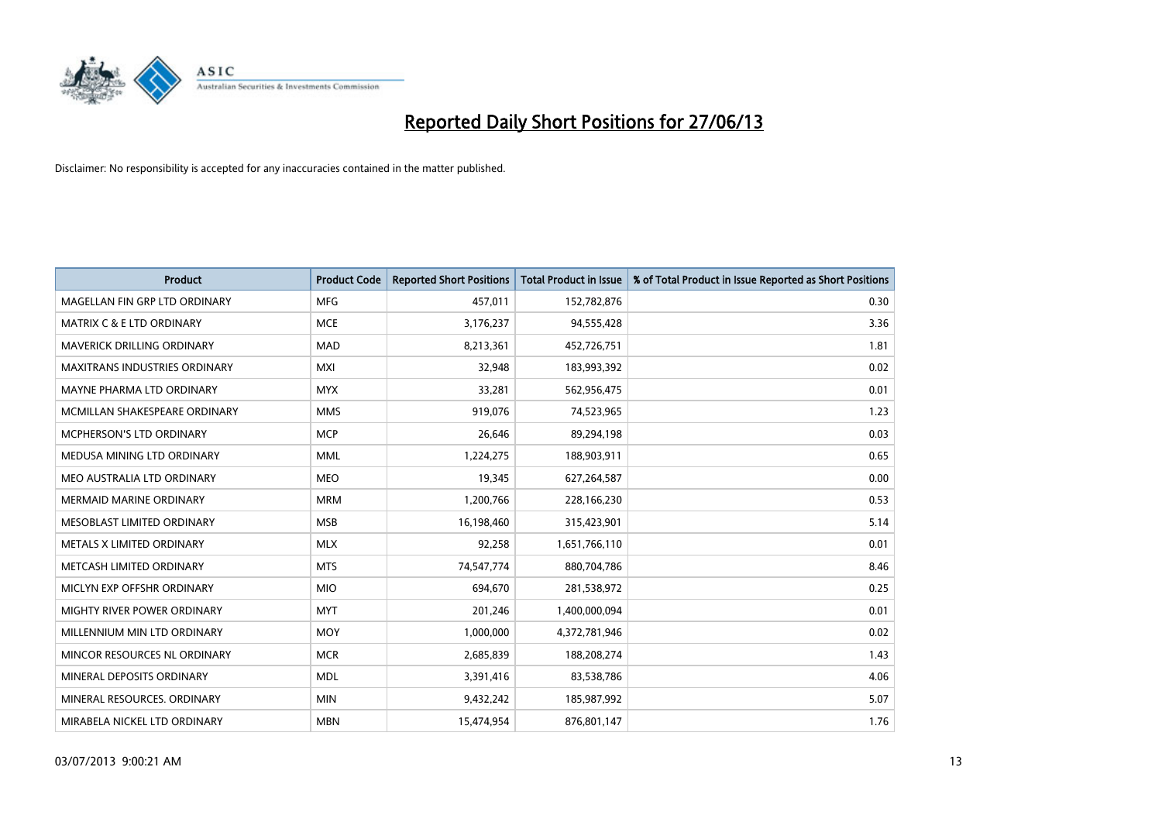

| <b>Product</b>                       | <b>Product Code</b> | <b>Reported Short Positions</b> | <b>Total Product in Issue</b> | % of Total Product in Issue Reported as Short Positions |
|--------------------------------------|---------------------|---------------------------------|-------------------------------|---------------------------------------------------------|
| MAGELLAN FIN GRP LTD ORDINARY        | <b>MFG</b>          | 457,011                         | 152,782,876                   | 0.30                                                    |
| <b>MATRIX C &amp; E LTD ORDINARY</b> | <b>MCE</b>          | 3,176,237                       | 94,555,428                    | 3.36                                                    |
| MAVERICK DRILLING ORDINARY           | <b>MAD</b>          | 8,213,361                       | 452,726,751                   | 1.81                                                    |
| <b>MAXITRANS INDUSTRIES ORDINARY</b> | <b>MXI</b>          | 32,948                          | 183,993,392                   | 0.02                                                    |
| MAYNE PHARMA LTD ORDINARY            | <b>MYX</b>          | 33,281                          | 562,956,475                   | 0.01                                                    |
| MCMILLAN SHAKESPEARE ORDINARY        | <b>MMS</b>          | 919,076                         | 74,523,965                    | 1.23                                                    |
| <b>MCPHERSON'S LTD ORDINARY</b>      | <b>MCP</b>          | 26,646                          | 89,294,198                    | 0.03                                                    |
| MEDUSA MINING LTD ORDINARY           | <b>MML</b>          | 1,224,275                       | 188,903,911                   | 0.65                                                    |
| MEO AUSTRALIA LTD ORDINARY           | <b>MEO</b>          | 19,345                          | 627,264,587                   | 0.00                                                    |
| <b>MERMAID MARINE ORDINARY</b>       | <b>MRM</b>          | 1,200,766                       | 228,166,230                   | 0.53                                                    |
| MESOBLAST LIMITED ORDINARY           | <b>MSB</b>          | 16,198,460                      | 315,423,901                   | 5.14                                                    |
| METALS X LIMITED ORDINARY            | <b>MLX</b>          | 92,258                          | 1,651,766,110                 | 0.01                                                    |
| METCASH LIMITED ORDINARY             | <b>MTS</b>          | 74,547,774                      | 880,704,786                   | 8.46                                                    |
| MICLYN EXP OFFSHR ORDINARY           | <b>MIO</b>          | 694,670                         | 281,538,972                   | 0.25                                                    |
| MIGHTY RIVER POWER ORDINARY          | <b>MYT</b>          | 201,246                         | 1,400,000,094                 | 0.01                                                    |
| MILLENNIUM MIN LTD ORDINARY          | <b>MOY</b>          | 1,000,000                       | 4,372,781,946                 | 0.02                                                    |
| MINCOR RESOURCES NL ORDINARY         | <b>MCR</b>          | 2,685,839                       | 188,208,274                   | 1.43                                                    |
| MINERAL DEPOSITS ORDINARY            | <b>MDL</b>          | 3,391,416                       | 83,538,786                    | 4.06                                                    |
| MINERAL RESOURCES, ORDINARY          | <b>MIN</b>          | 9,432,242                       | 185,987,992                   | 5.07                                                    |
| MIRABELA NICKEL LTD ORDINARY         | <b>MBN</b>          | 15,474,954                      | 876,801,147                   | 1.76                                                    |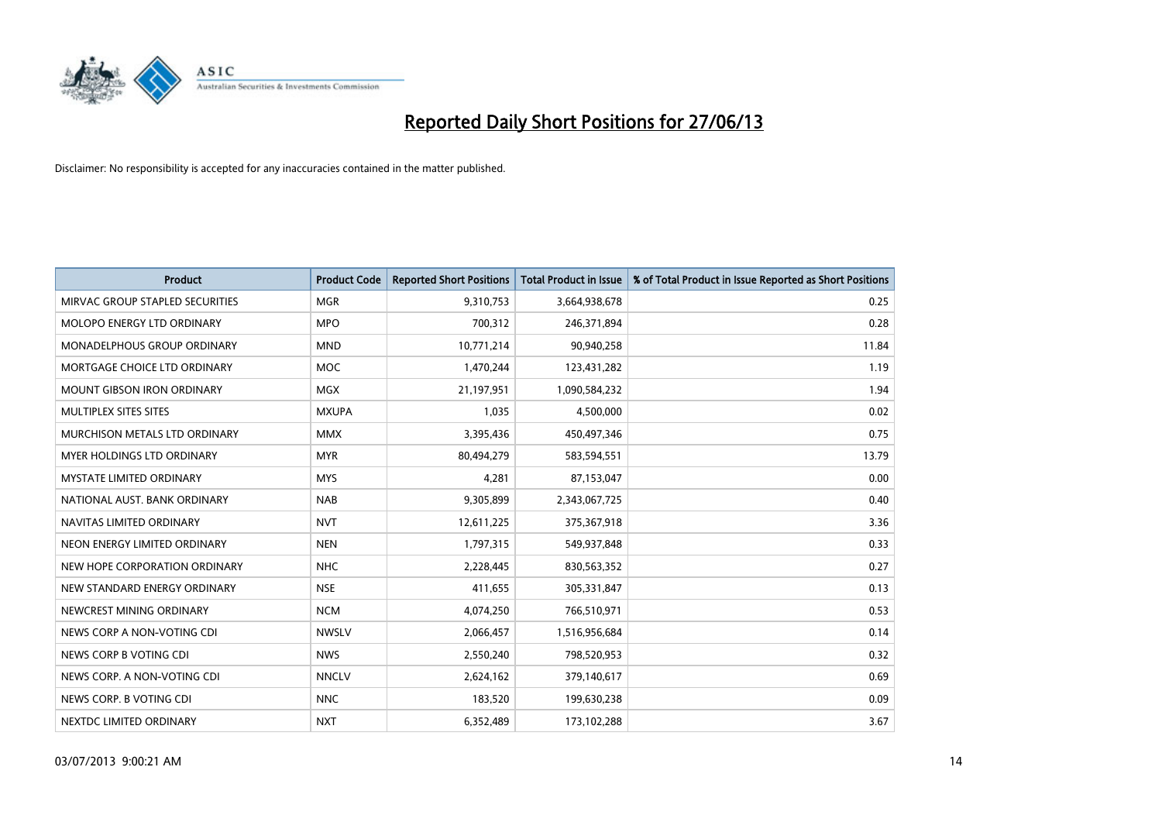

| <b>Product</b>                     | <b>Product Code</b> | <b>Reported Short Positions</b> | <b>Total Product in Issue</b> | % of Total Product in Issue Reported as Short Positions |
|------------------------------------|---------------------|---------------------------------|-------------------------------|---------------------------------------------------------|
| MIRVAC GROUP STAPLED SECURITIES    | <b>MGR</b>          | 9,310,753                       | 3,664,938,678                 | 0.25                                                    |
| MOLOPO ENERGY LTD ORDINARY         | <b>MPO</b>          | 700,312                         | 246,371,894                   | 0.28                                                    |
| <b>MONADELPHOUS GROUP ORDINARY</b> | <b>MND</b>          | 10,771,214                      | 90,940,258                    | 11.84                                                   |
| MORTGAGE CHOICE LTD ORDINARY       | <b>MOC</b>          | 1,470,244                       | 123,431,282                   | 1.19                                                    |
| <b>MOUNT GIBSON IRON ORDINARY</b>  | <b>MGX</b>          | 21,197,951                      | 1,090,584,232                 | 1.94                                                    |
| MULTIPLEX SITES SITES              | <b>MXUPA</b>        | 1,035                           | 4,500,000                     | 0.02                                                    |
| MURCHISON METALS LTD ORDINARY      | <b>MMX</b>          | 3,395,436                       | 450,497,346                   | 0.75                                                    |
| MYER HOLDINGS LTD ORDINARY         | <b>MYR</b>          | 80,494,279                      | 583,594,551                   | 13.79                                                   |
| <b>MYSTATE LIMITED ORDINARY</b>    | <b>MYS</b>          | 4,281                           | 87,153,047                    | 0.00                                                    |
| NATIONAL AUST, BANK ORDINARY       | <b>NAB</b>          | 9,305,899                       | 2,343,067,725                 | 0.40                                                    |
| NAVITAS LIMITED ORDINARY           | <b>NVT</b>          | 12,611,225                      | 375,367,918                   | 3.36                                                    |
| NEON ENERGY LIMITED ORDINARY       | <b>NEN</b>          | 1,797,315                       | 549,937,848                   | 0.33                                                    |
| NEW HOPE CORPORATION ORDINARY      | <b>NHC</b>          | 2,228,445                       | 830,563,352                   | 0.27                                                    |
| NEW STANDARD ENERGY ORDINARY       | <b>NSE</b>          | 411,655                         | 305,331,847                   | 0.13                                                    |
| NEWCREST MINING ORDINARY           | <b>NCM</b>          | 4,074,250                       | 766,510,971                   | 0.53                                                    |
| NEWS CORP A NON-VOTING CDI         | <b>NWSLV</b>        | 2,066,457                       | 1,516,956,684                 | 0.14                                                    |
| NEWS CORP B VOTING CDI             | <b>NWS</b>          | 2,550,240                       | 798,520,953                   | 0.32                                                    |
| NEWS CORP. A NON-VOTING CDI        | <b>NNCLV</b>        | 2,624,162                       | 379,140,617                   | 0.69                                                    |
| NEWS CORP. B VOTING CDI            | <b>NNC</b>          | 183,520                         | 199,630,238                   | 0.09                                                    |
| NEXTDC LIMITED ORDINARY            | <b>NXT</b>          | 6,352,489                       | 173,102,288                   | 3.67                                                    |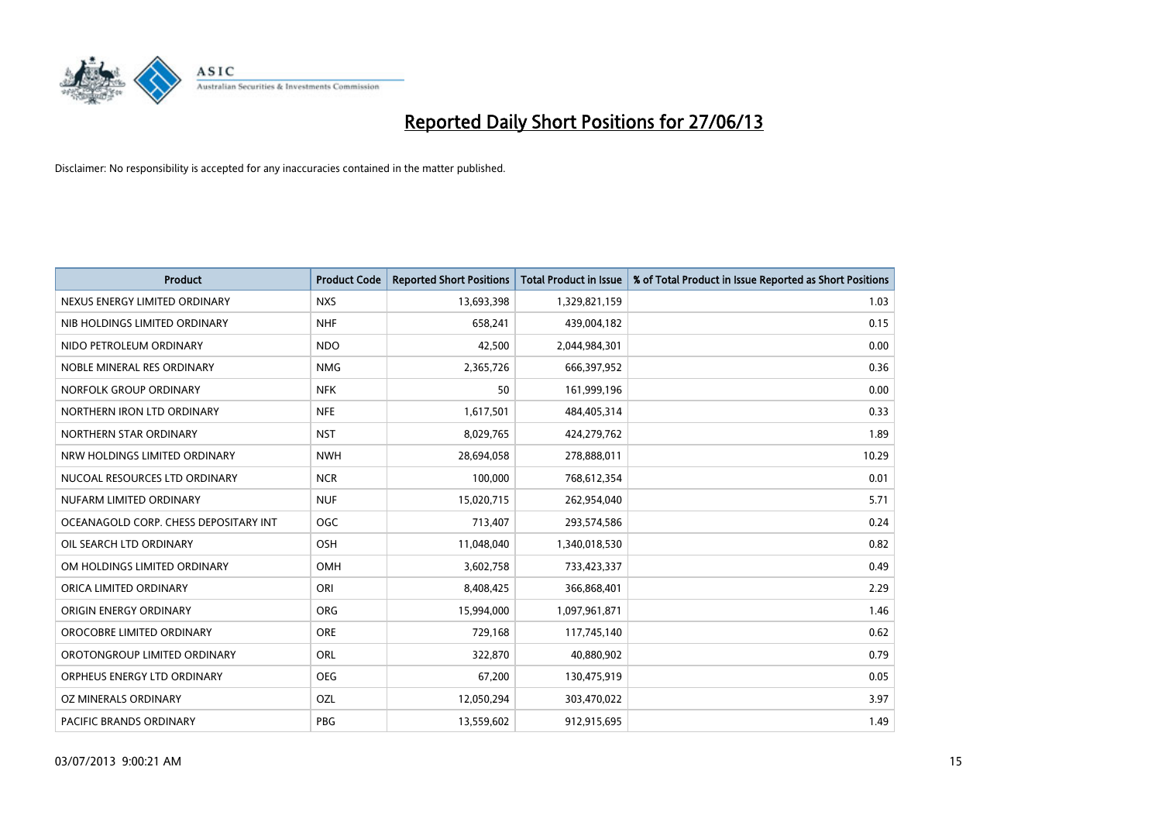

| <b>Product</b>                        | <b>Product Code</b> | <b>Reported Short Positions</b> | <b>Total Product in Issue</b> | % of Total Product in Issue Reported as Short Positions |
|---------------------------------------|---------------------|---------------------------------|-------------------------------|---------------------------------------------------------|
| NEXUS ENERGY LIMITED ORDINARY         | <b>NXS</b>          | 13,693,398                      | 1,329,821,159                 | 1.03                                                    |
| NIB HOLDINGS LIMITED ORDINARY         | <b>NHF</b>          | 658,241                         | 439,004,182                   | 0.15                                                    |
| NIDO PETROLEUM ORDINARY               | <b>NDO</b>          | 42,500                          | 2,044,984,301                 | 0.00                                                    |
| NOBLE MINERAL RES ORDINARY            | <b>NMG</b>          | 2,365,726                       | 666,397,952                   | 0.36                                                    |
| NORFOLK GROUP ORDINARY                | <b>NFK</b>          | 50                              | 161,999,196                   | 0.00                                                    |
| NORTHERN IRON LTD ORDINARY            | <b>NFE</b>          | 1,617,501                       | 484,405,314                   | 0.33                                                    |
| NORTHERN STAR ORDINARY                | <b>NST</b>          | 8,029,765                       | 424,279,762                   | 1.89                                                    |
| NRW HOLDINGS LIMITED ORDINARY         | <b>NWH</b>          | 28,694,058                      | 278,888,011                   | 10.29                                                   |
| NUCOAL RESOURCES LTD ORDINARY         | <b>NCR</b>          | 100,000                         | 768,612,354                   | 0.01                                                    |
| NUFARM LIMITED ORDINARY               | <b>NUF</b>          | 15,020,715                      | 262,954,040                   | 5.71                                                    |
| OCEANAGOLD CORP. CHESS DEPOSITARY INT | <b>OGC</b>          | 713,407                         | 293,574,586                   | 0.24                                                    |
| OIL SEARCH LTD ORDINARY               | OSH                 | 11,048,040                      | 1,340,018,530                 | 0.82                                                    |
| OM HOLDINGS LIMITED ORDINARY          | OMH                 | 3,602,758                       | 733,423,337                   | 0.49                                                    |
| ORICA LIMITED ORDINARY                | ORI                 | 8,408,425                       | 366,868,401                   | 2.29                                                    |
| ORIGIN ENERGY ORDINARY                | <b>ORG</b>          | 15,994,000                      | 1,097,961,871                 | 1.46                                                    |
| OROCOBRE LIMITED ORDINARY             | <b>ORE</b>          | 729,168                         | 117,745,140                   | 0.62                                                    |
| OROTONGROUP LIMITED ORDINARY          | ORL                 | 322,870                         | 40,880,902                    | 0.79                                                    |
| ORPHEUS ENERGY LTD ORDINARY           | <b>OEG</b>          | 67,200                          | 130,475,919                   | 0.05                                                    |
| OZ MINERALS ORDINARY                  | OZL                 | 12,050,294                      | 303,470,022                   | 3.97                                                    |
| PACIFIC BRANDS ORDINARY               | <b>PBG</b>          | 13,559,602                      | 912,915,695                   | 1.49                                                    |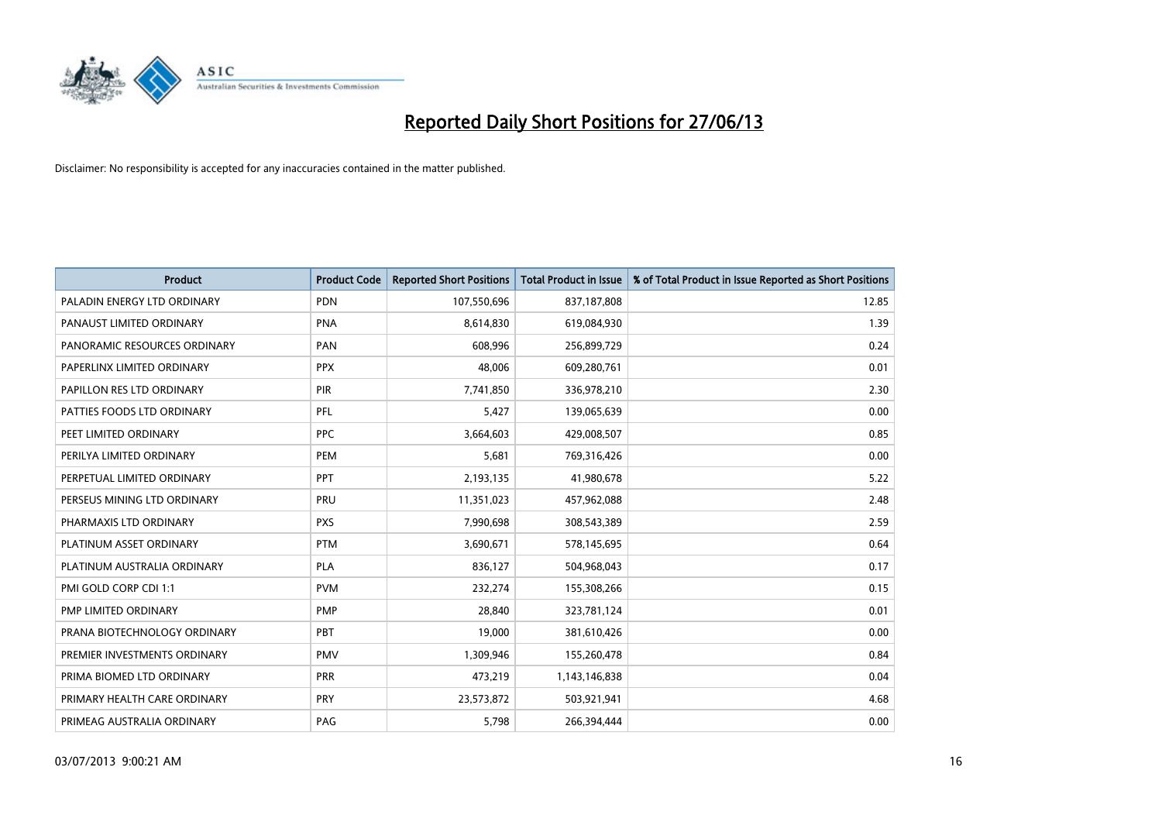

| <b>Product</b>               | <b>Product Code</b> | <b>Reported Short Positions</b> | <b>Total Product in Issue</b> | % of Total Product in Issue Reported as Short Positions |
|------------------------------|---------------------|---------------------------------|-------------------------------|---------------------------------------------------------|
| PALADIN ENERGY LTD ORDINARY  | <b>PDN</b>          | 107,550,696                     | 837,187,808                   | 12.85                                                   |
| PANAUST LIMITED ORDINARY     | <b>PNA</b>          | 8,614,830                       | 619,084,930                   | 1.39                                                    |
| PANORAMIC RESOURCES ORDINARY | PAN                 | 608,996                         | 256,899,729                   | 0.24                                                    |
| PAPERLINX LIMITED ORDINARY   | <b>PPX</b>          | 48,006                          | 609,280,761                   | 0.01                                                    |
| PAPILLON RES LTD ORDINARY    | PIR                 | 7,741,850                       | 336,978,210                   | 2.30                                                    |
| PATTIES FOODS LTD ORDINARY   | PFL                 | 5,427                           | 139,065,639                   | 0.00                                                    |
| PEET LIMITED ORDINARY        | <b>PPC</b>          | 3,664,603                       | 429,008,507                   | 0.85                                                    |
| PERILYA LIMITED ORDINARY     | PEM                 | 5,681                           | 769,316,426                   | 0.00                                                    |
| PERPETUAL LIMITED ORDINARY   | PPT                 | 2,193,135                       | 41,980,678                    | 5.22                                                    |
| PERSEUS MINING LTD ORDINARY  | <b>PRU</b>          | 11,351,023                      | 457,962,088                   | 2.48                                                    |
| PHARMAXIS LTD ORDINARY       | <b>PXS</b>          | 7,990,698                       | 308,543,389                   | 2.59                                                    |
| PLATINUM ASSET ORDINARY      | <b>PTM</b>          | 3,690,671                       | 578,145,695                   | 0.64                                                    |
| PLATINUM AUSTRALIA ORDINARY  | <b>PLA</b>          | 836,127                         | 504,968,043                   | 0.17                                                    |
| PMI GOLD CORP CDI 1:1        | <b>PVM</b>          | 232,274                         | 155,308,266                   | 0.15                                                    |
| PMP LIMITED ORDINARY         | <b>PMP</b>          | 28,840                          | 323,781,124                   | 0.01                                                    |
| PRANA BIOTECHNOLOGY ORDINARY | <b>PBT</b>          | 19,000                          | 381,610,426                   | 0.00                                                    |
| PREMIER INVESTMENTS ORDINARY | <b>PMV</b>          | 1,309,946                       | 155,260,478                   | 0.84                                                    |
| PRIMA BIOMED LTD ORDINARY    | <b>PRR</b>          | 473,219                         | 1,143,146,838                 | 0.04                                                    |
| PRIMARY HEALTH CARE ORDINARY | <b>PRY</b>          | 23,573,872                      | 503,921,941                   | 4.68                                                    |
| PRIMEAG AUSTRALIA ORDINARY   | PAG                 | 5,798                           | 266,394,444                   | 0.00                                                    |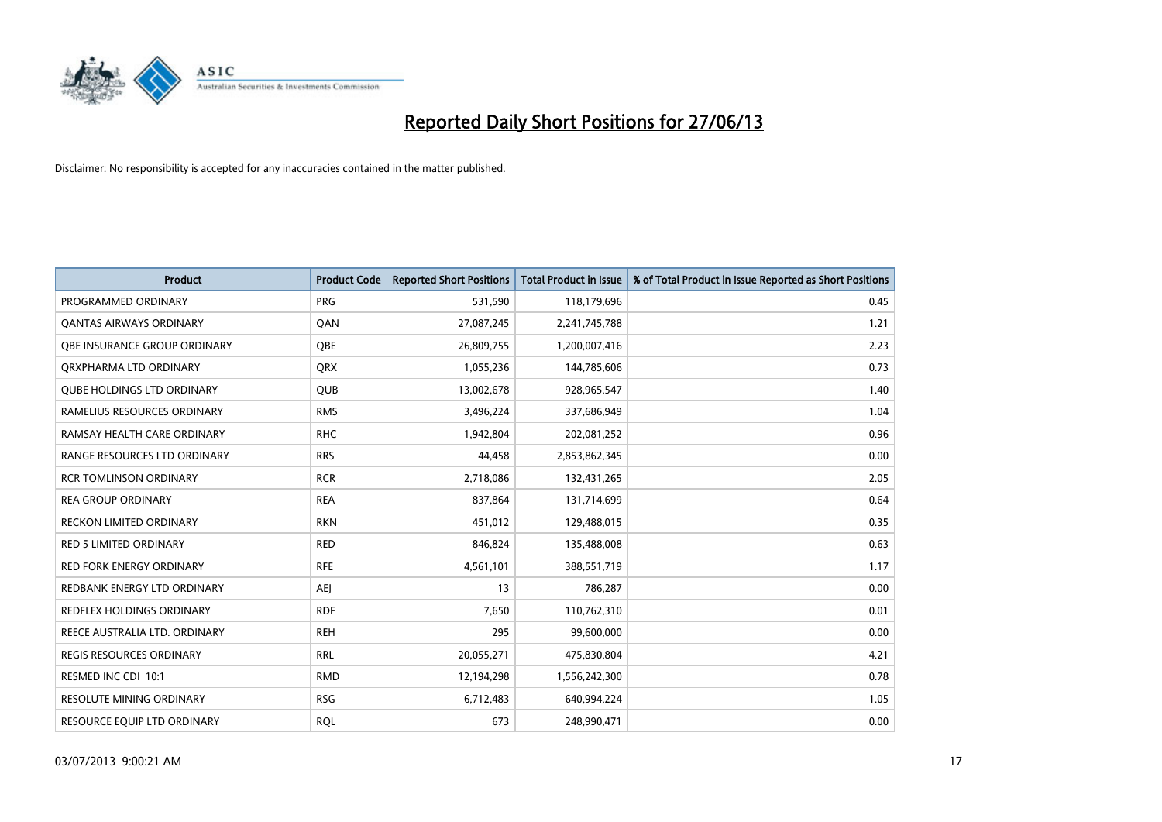

| <b>Product</b>                      | <b>Product Code</b> | <b>Reported Short Positions</b> | <b>Total Product in Issue</b> | % of Total Product in Issue Reported as Short Positions |
|-------------------------------------|---------------------|---------------------------------|-------------------------------|---------------------------------------------------------|
| PROGRAMMED ORDINARY                 | <b>PRG</b>          | 531,590                         | 118,179,696                   | 0.45                                                    |
| <b>QANTAS AIRWAYS ORDINARY</b>      | QAN                 | 27,087,245                      | 2,241,745,788                 | 1.21                                                    |
| <b>OBE INSURANCE GROUP ORDINARY</b> | <b>OBE</b>          | 26,809,755                      | 1,200,007,416                 | 2.23                                                    |
| ORXPHARMA LTD ORDINARY              | QRX                 | 1,055,236                       | 144,785,606                   | 0.73                                                    |
| <b>QUBE HOLDINGS LTD ORDINARY</b>   | <b>QUB</b>          | 13,002,678                      | 928,965,547                   | 1.40                                                    |
| RAMELIUS RESOURCES ORDINARY         | <b>RMS</b>          | 3,496,224                       | 337,686,949                   | 1.04                                                    |
| RAMSAY HEALTH CARE ORDINARY         | <b>RHC</b>          | 1,942,804                       | 202,081,252                   | 0.96                                                    |
| RANGE RESOURCES LTD ORDINARY        | <b>RRS</b>          | 44,458                          | 2,853,862,345                 | 0.00                                                    |
| <b>RCR TOMLINSON ORDINARY</b>       | <b>RCR</b>          | 2,718,086                       | 132,431,265                   | 2.05                                                    |
| <b>REA GROUP ORDINARY</b>           | <b>REA</b>          | 837,864                         | 131,714,699                   | 0.64                                                    |
| RECKON LIMITED ORDINARY             | <b>RKN</b>          | 451,012                         | 129,488,015                   | 0.35                                                    |
| <b>RED 5 LIMITED ORDINARY</b>       | <b>RED</b>          | 846,824                         | 135,488,008                   | 0.63                                                    |
| RED FORK ENERGY ORDINARY            | <b>RFE</b>          | 4,561,101                       | 388,551,719                   | 1.17                                                    |
| REDBANK ENERGY LTD ORDINARY         | <b>AEJ</b>          | 13                              | 786,287                       | 0.00                                                    |
| <b>REDFLEX HOLDINGS ORDINARY</b>    | <b>RDF</b>          | 7,650                           | 110,762,310                   | 0.01                                                    |
| REECE AUSTRALIA LTD. ORDINARY       | <b>REH</b>          | 295                             | 99,600,000                    | 0.00                                                    |
| <b>REGIS RESOURCES ORDINARY</b>     | <b>RRL</b>          | 20,055,271                      | 475,830,804                   | 4.21                                                    |
| RESMED INC CDI 10:1                 | <b>RMD</b>          | 12,194,298                      | 1,556,242,300                 | 0.78                                                    |
| <b>RESOLUTE MINING ORDINARY</b>     | <b>RSG</b>          | 6,712,483                       | 640,994,224                   | 1.05                                                    |
| RESOURCE EQUIP LTD ORDINARY         | <b>ROL</b>          | 673                             | 248,990,471                   | 0.00                                                    |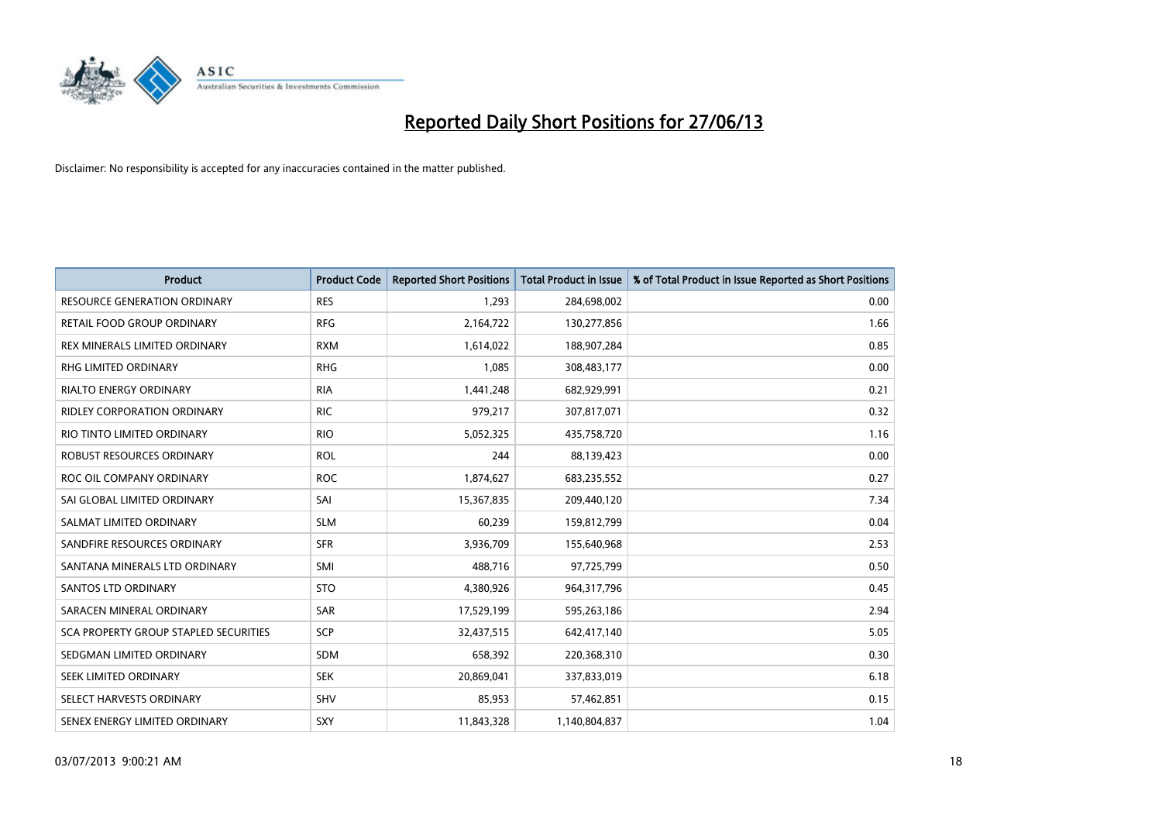

| Product                               | <b>Product Code</b> | <b>Reported Short Positions</b> | <b>Total Product in Issue</b> | % of Total Product in Issue Reported as Short Positions |
|---------------------------------------|---------------------|---------------------------------|-------------------------------|---------------------------------------------------------|
| <b>RESOURCE GENERATION ORDINARY</b>   | <b>RES</b>          | 1,293                           | 284,698,002                   | 0.00                                                    |
| RETAIL FOOD GROUP ORDINARY            | <b>RFG</b>          | 2,164,722                       | 130,277,856                   | 1.66                                                    |
| REX MINERALS LIMITED ORDINARY         | <b>RXM</b>          | 1,614,022                       | 188,907,284                   | 0.85                                                    |
| RHG LIMITED ORDINARY                  | <b>RHG</b>          | 1,085                           | 308,483,177                   | 0.00                                                    |
| <b>RIALTO ENERGY ORDINARY</b>         | <b>RIA</b>          | 1,441,248                       | 682,929,991                   | 0.21                                                    |
| <b>RIDLEY CORPORATION ORDINARY</b>    | <b>RIC</b>          | 979,217                         | 307,817,071                   | 0.32                                                    |
| RIO TINTO LIMITED ORDINARY            | <b>RIO</b>          | 5,052,325                       | 435,758,720                   | 1.16                                                    |
| ROBUST RESOURCES ORDINARY             | <b>ROL</b>          | 244                             | 88,139,423                    | 0.00                                                    |
| ROC OIL COMPANY ORDINARY              | <b>ROC</b>          | 1,874,627                       | 683,235,552                   | 0.27                                                    |
| SAI GLOBAL LIMITED ORDINARY           | SAI                 | 15,367,835                      | 209,440,120                   | 7.34                                                    |
| SALMAT LIMITED ORDINARY               | <b>SLM</b>          | 60,239                          | 159,812,799                   | 0.04                                                    |
| SANDFIRE RESOURCES ORDINARY           | <b>SFR</b>          | 3,936,709                       | 155,640,968                   | 2.53                                                    |
| SANTANA MINERALS LTD ORDINARY         | SMI                 | 488,716                         | 97,725,799                    | 0.50                                                    |
| <b>SANTOS LTD ORDINARY</b>            | <b>STO</b>          | 4,380,926                       | 964,317,796                   | 0.45                                                    |
| SARACEN MINERAL ORDINARY              | SAR                 | 17,529,199                      | 595,263,186                   | 2.94                                                    |
| SCA PROPERTY GROUP STAPLED SECURITIES | SCP                 | 32,437,515                      | 642,417,140                   | 5.05                                                    |
| SEDGMAN LIMITED ORDINARY              | SDM                 | 658,392                         | 220,368,310                   | 0.30                                                    |
| SEEK LIMITED ORDINARY                 | <b>SEK</b>          | 20,869,041                      | 337,833,019                   | 6.18                                                    |
| SELECT HARVESTS ORDINARY              | SHV                 | 85,953                          | 57,462,851                    | 0.15                                                    |
| SENEX ENERGY LIMITED ORDINARY         | SXY                 | 11,843,328                      | 1,140,804,837                 | 1.04                                                    |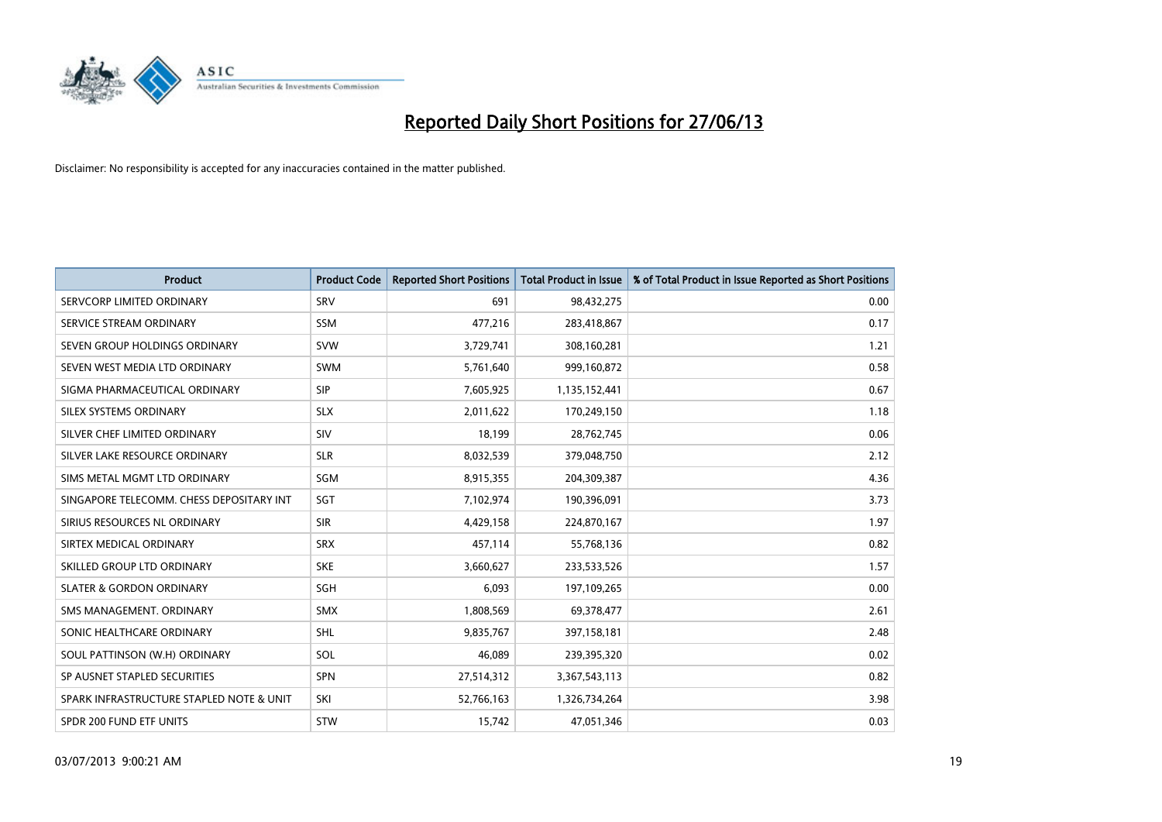

| <b>Product</b>                           | <b>Product Code</b> | <b>Reported Short Positions</b> | <b>Total Product in Issue</b> | % of Total Product in Issue Reported as Short Positions |
|------------------------------------------|---------------------|---------------------------------|-------------------------------|---------------------------------------------------------|
| SERVCORP LIMITED ORDINARY                | SRV                 | 691                             | 98,432,275                    | 0.00                                                    |
| SERVICE STREAM ORDINARY                  | SSM                 | 477,216                         | 283,418,867                   | 0.17                                                    |
| SEVEN GROUP HOLDINGS ORDINARY            | <b>SVW</b>          | 3,729,741                       | 308,160,281                   | 1.21                                                    |
| SEVEN WEST MEDIA LTD ORDINARY            | <b>SWM</b>          | 5,761,640                       | 999,160,872                   | 0.58                                                    |
| SIGMA PHARMACEUTICAL ORDINARY            | <b>SIP</b>          | 7,605,925                       | 1,135,152,441                 | 0.67                                                    |
| SILEX SYSTEMS ORDINARY                   | <b>SLX</b>          | 2,011,622                       | 170,249,150                   | 1.18                                                    |
| SILVER CHEF LIMITED ORDINARY             | <b>SIV</b>          | 18,199                          | 28,762,745                    | 0.06                                                    |
| SILVER LAKE RESOURCE ORDINARY            | <b>SLR</b>          | 8,032,539                       | 379,048,750                   | 2.12                                                    |
| SIMS METAL MGMT LTD ORDINARY             | <b>SGM</b>          | 8,915,355                       | 204,309,387                   | 4.36                                                    |
| SINGAPORE TELECOMM. CHESS DEPOSITARY INT | SGT                 | 7,102,974                       | 190,396,091                   | 3.73                                                    |
| SIRIUS RESOURCES NL ORDINARY             | <b>SIR</b>          | 4,429,158                       | 224,870,167                   | 1.97                                                    |
| SIRTEX MEDICAL ORDINARY                  | <b>SRX</b>          | 457,114                         | 55,768,136                    | 0.82                                                    |
| SKILLED GROUP LTD ORDINARY               | <b>SKE</b>          | 3,660,627                       | 233,533,526                   | 1.57                                                    |
| <b>SLATER &amp; GORDON ORDINARY</b>      | SGH                 | 6,093                           | 197,109,265                   | 0.00                                                    |
| SMS MANAGEMENT, ORDINARY                 | <b>SMX</b>          | 1,808,569                       | 69,378,477                    | 2.61                                                    |
| SONIC HEALTHCARE ORDINARY                | <b>SHL</b>          | 9,835,767                       | 397,158,181                   | 2.48                                                    |
| SOUL PATTINSON (W.H) ORDINARY            | SOL                 | 46,089                          | 239,395,320                   | 0.02                                                    |
| SP AUSNET STAPLED SECURITIES             | <b>SPN</b>          | 27,514,312                      | 3,367,543,113                 | 0.82                                                    |
| SPARK INFRASTRUCTURE STAPLED NOTE & UNIT | SKI                 | 52,766,163                      | 1,326,734,264                 | 3.98                                                    |
| SPDR 200 FUND ETF UNITS                  | <b>STW</b>          | 15,742                          | 47,051,346                    | 0.03                                                    |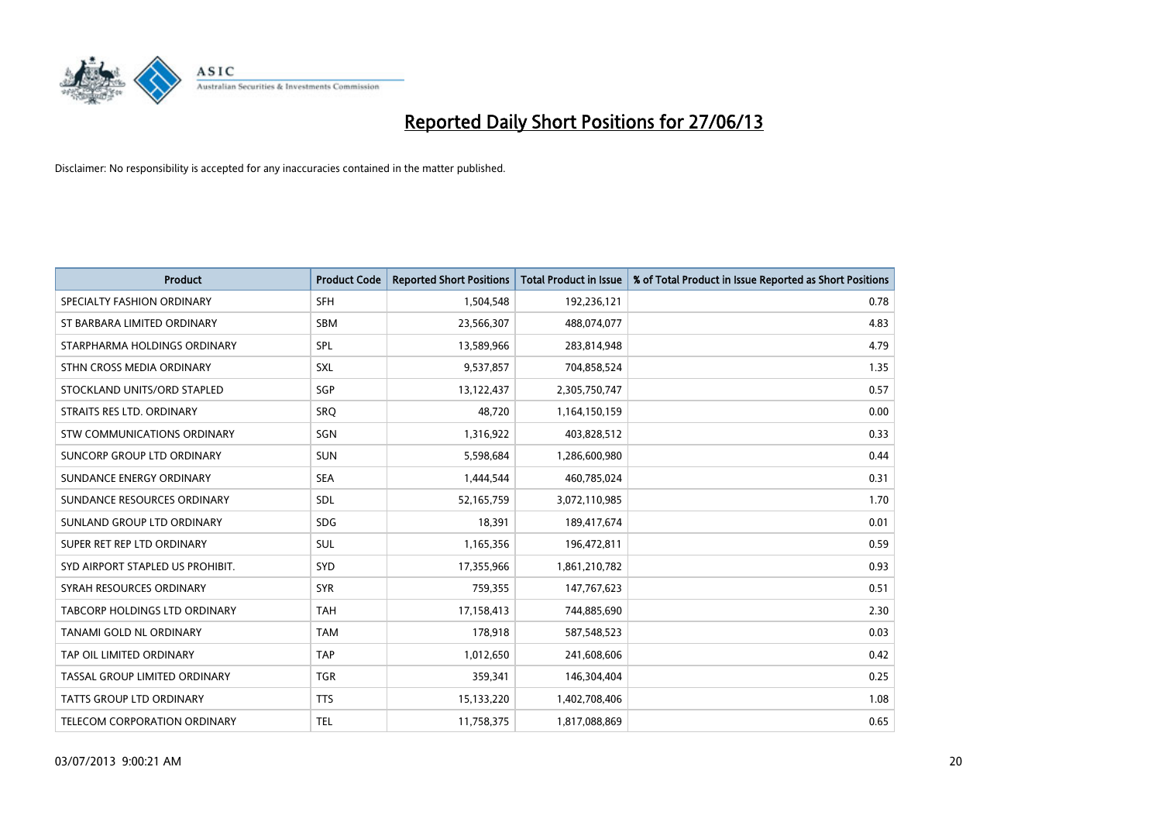

| <b>Product</b>                   | <b>Product Code</b> | <b>Reported Short Positions</b> | <b>Total Product in Issue</b> | % of Total Product in Issue Reported as Short Positions |
|----------------------------------|---------------------|---------------------------------|-------------------------------|---------------------------------------------------------|
| SPECIALTY FASHION ORDINARY       | <b>SFH</b>          | 1,504,548                       | 192,236,121                   | 0.78                                                    |
| ST BARBARA LIMITED ORDINARY      | <b>SBM</b>          | 23,566,307                      | 488,074,077                   | 4.83                                                    |
| STARPHARMA HOLDINGS ORDINARY     | <b>SPL</b>          | 13,589,966                      | 283,814,948                   | 4.79                                                    |
| STHN CROSS MEDIA ORDINARY        | <b>SXL</b>          | 9,537,857                       | 704,858,524                   | 1.35                                                    |
| STOCKLAND UNITS/ORD STAPLED      | SGP                 | 13,122,437                      | 2,305,750,747                 | 0.57                                                    |
| STRAITS RES LTD. ORDINARY        | SRO                 | 48,720                          | 1,164,150,159                 | 0.00                                                    |
| STW COMMUNICATIONS ORDINARY      | SGN                 | 1,316,922                       | 403,828,512                   | 0.33                                                    |
| SUNCORP GROUP LTD ORDINARY       | <b>SUN</b>          | 5,598,684                       | 1,286,600,980                 | 0.44                                                    |
| SUNDANCE ENERGY ORDINARY         | <b>SEA</b>          | 1,444,544                       | 460,785,024                   | 0.31                                                    |
| SUNDANCE RESOURCES ORDINARY      | <b>SDL</b>          | 52,165,759                      | 3,072,110,985                 | 1.70                                                    |
| SUNLAND GROUP LTD ORDINARY       | <b>SDG</b>          | 18,391                          | 189,417,674                   | 0.01                                                    |
| SUPER RET REP LTD ORDINARY       | <b>SUL</b>          | 1,165,356                       | 196,472,811                   | 0.59                                                    |
| SYD AIRPORT STAPLED US PROHIBIT. | <b>SYD</b>          | 17,355,966                      | 1,861,210,782                 | 0.93                                                    |
| SYRAH RESOURCES ORDINARY         | <b>SYR</b>          | 759,355                         | 147,767,623                   | 0.51                                                    |
| TABCORP HOLDINGS LTD ORDINARY    | <b>TAH</b>          | 17,158,413                      | 744,885,690                   | 2.30                                                    |
| TANAMI GOLD NL ORDINARY          | <b>TAM</b>          | 178,918                         | 587,548,523                   | 0.03                                                    |
| TAP OIL LIMITED ORDINARY         | <b>TAP</b>          | 1,012,650                       | 241,608,606                   | 0.42                                                    |
| TASSAL GROUP LIMITED ORDINARY    | <b>TGR</b>          | 359,341                         | 146,304,404                   | 0.25                                                    |
| <b>TATTS GROUP LTD ORDINARY</b>  | <b>TTS</b>          | 15,133,220                      | 1,402,708,406                 | 1.08                                                    |
| TELECOM CORPORATION ORDINARY     | <b>TEL</b>          | 11,758,375                      | 1,817,088,869                 | 0.65                                                    |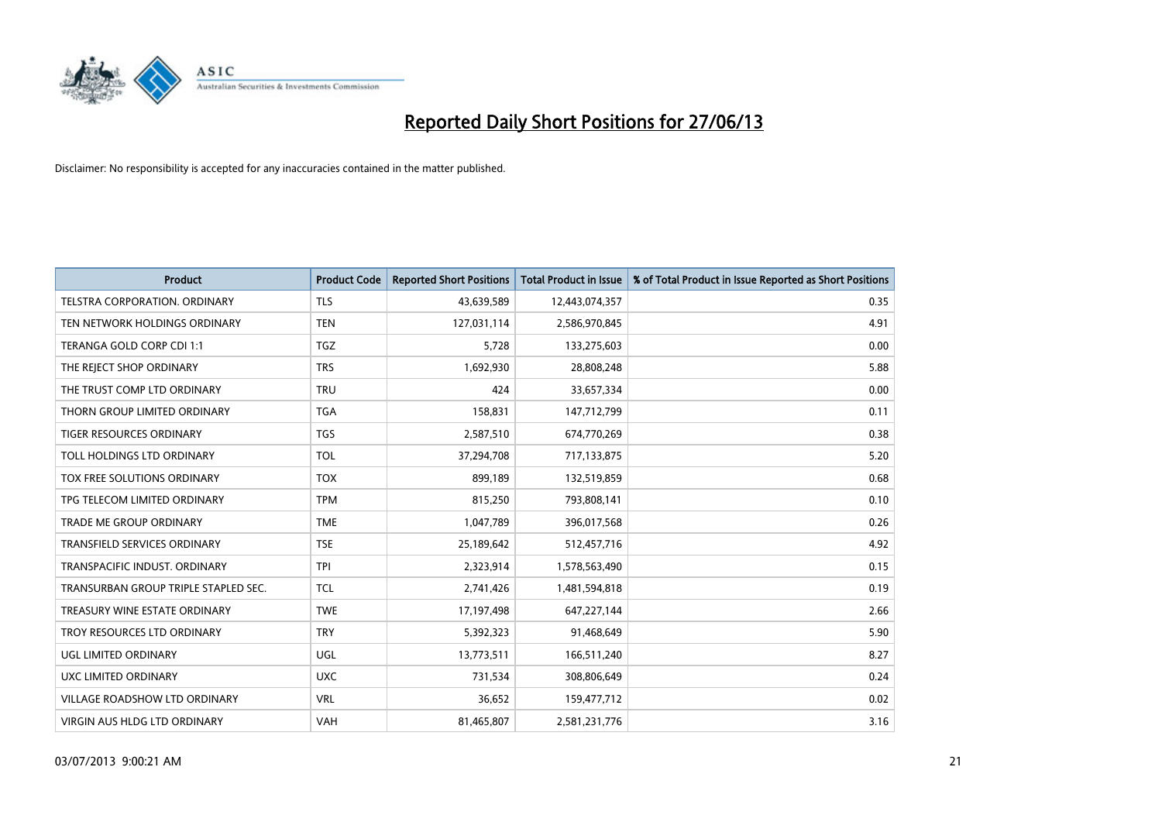

| <b>Product</b>                       | <b>Product Code</b> | <b>Reported Short Positions</b> | <b>Total Product in Issue</b> | % of Total Product in Issue Reported as Short Positions |
|--------------------------------------|---------------------|---------------------------------|-------------------------------|---------------------------------------------------------|
| TELSTRA CORPORATION, ORDINARY        | <b>TLS</b>          | 43,639,589                      | 12,443,074,357                | 0.35                                                    |
| TEN NETWORK HOLDINGS ORDINARY        | <b>TEN</b>          | 127,031,114                     | 2,586,970,845                 | 4.91                                                    |
| TERANGA GOLD CORP CDI 1:1            | <b>TGZ</b>          | 5,728                           | 133,275,603                   | 0.00                                                    |
| THE REJECT SHOP ORDINARY             | <b>TRS</b>          | 1,692,930                       | 28,808,248                    | 5.88                                                    |
| THE TRUST COMP LTD ORDINARY          | <b>TRU</b>          | 424                             | 33,657,334                    | 0.00                                                    |
| THORN GROUP LIMITED ORDINARY         | <b>TGA</b>          | 158,831                         | 147,712,799                   | 0.11                                                    |
| TIGER RESOURCES ORDINARY             | <b>TGS</b>          | 2,587,510                       | 674,770,269                   | 0.38                                                    |
| TOLL HOLDINGS LTD ORDINARY           | <b>TOL</b>          | 37,294,708                      | 717,133,875                   | 5.20                                                    |
| TOX FREE SOLUTIONS ORDINARY          | <b>TOX</b>          | 899,189                         | 132,519,859                   | 0.68                                                    |
| TPG TELECOM LIMITED ORDINARY         | <b>TPM</b>          | 815,250                         | 793,808,141                   | 0.10                                                    |
| <b>TRADE ME GROUP ORDINARY</b>       | <b>TME</b>          | 1,047,789                       | 396,017,568                   | 0.26                                                    |
| TRANSFIELD SERVICES ORDINARY         | <b>TSE</b>          | 25,189,642                      | 512,457,716                   | 4.92                                                    |
| TRANSPACIFIC INDUST, ORDINARY        | <b>TPI</b>          | 2,323,914                       | 1,578,563,490                 | 0.15                                                    |
| TRANSURBAN GROUP TRIPLE STAPLED SEC. | <b>TCL</b>          | 2,741,426                       | 1,481,594,818                 | 0.19                                                    |
| TREASURY WINE ESTATE ORDINARY        | <b>TWE</b>          | 17,197,498                      | 647,227,144                   | 2.66                                                    |
| TROY RESOURCES LTD ORDINARY          | <b>TRY</b>          | 5,392,323                       | 91,468,649                    | 5.90                                                    |
| UGL LIMITED ORDINARY                 | UGL                 | 13,773,511                      | 166,511,240                   | 8.27                                                    |
| <b>UXC LIMITED ORDINARY</b>          | <b>UXC</b>          | 731,534                         | 308,806,649                   | 0.24                                                    |
| VILLAGE ROADSHOW LTD ORDINARY        | <b>VRL</b>          | 36,652                          | 159,477,712                   | 0.02                                                    |
| <b>VIRGIN AUS HLDG LTD ORDINARY</b>  | <b>VAH</b>          | 81,465,807                      | 2,581,231,776                 | 3.16                                                    |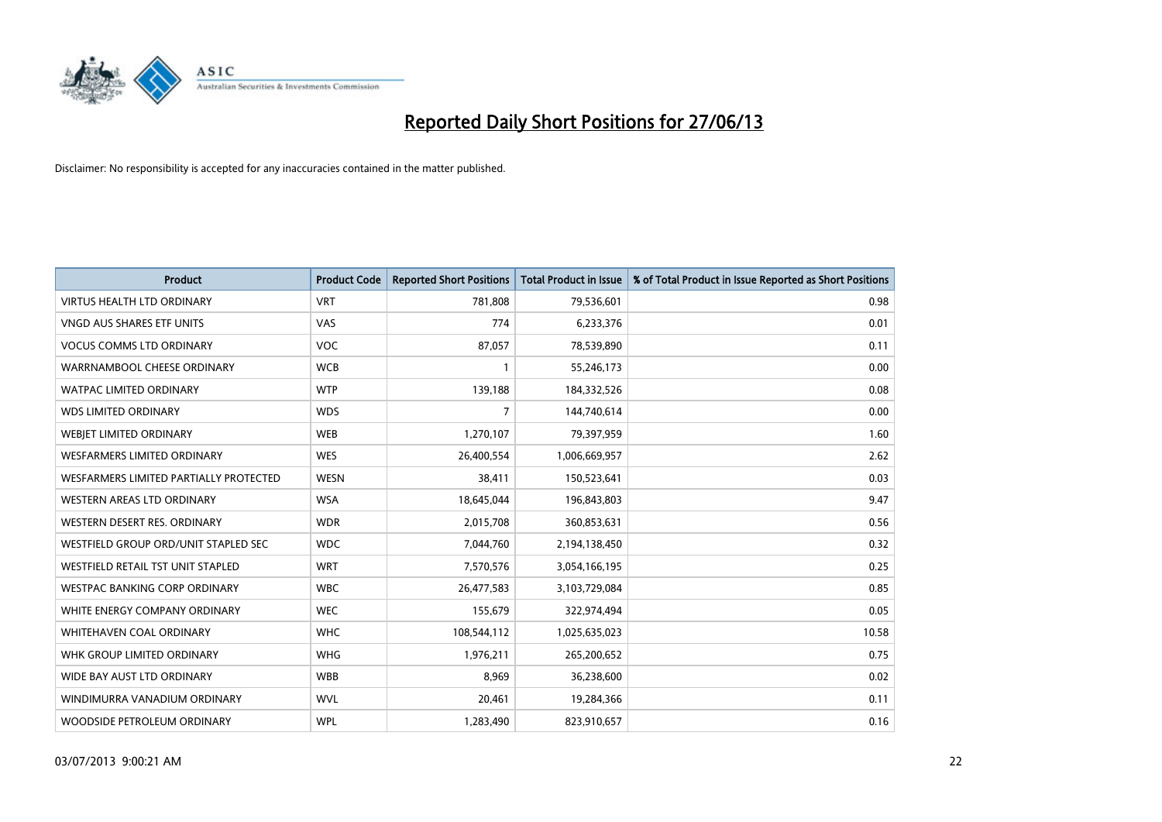

| <b>Product</b>                         | <b>Product Code</b> | <b>Reported Short Positions</b> | <b>Total Product in Issue</b> | % of Total Product in Issue Reported as Short Positions |
|----------------------------------------|---------------------|---------------------------------|-------------------------------|---------------------------------------------------------|
| <b>VIRTUS HEALTH LTD ORDINARY</b>      | <b>VRT</b>          | 781,808                         | 79,536,601                    | 0.98                                                    |
| <b>VNGD AUS SHARES ETF UNITS</b>       | VAS                 | 774                             | 6,233,376                     | 0.01                                                    |
| <b>VOCUS COMMS LTD ORDINARY</b>        | <b>VOC</b>          | 87,057                          | 78,539,890                    | 0.11                                                    |
| WARRNAMBOOL CHEESE ORDINARY            | <b>WCB</b>          | $\mathbf{1}$                    | 55,246,173                    | 0.00                                                    |
| <b>WATPAC LIMITED ORDINARY</b>         | <b>WTP</b>          | 139,188                         | 184,332,526                   | 0.08                                                    |
| <b>WDS LIMITED ORDINARY</b>            | <b>WDS</b>          | $\overline{7}$                  | 144,740,614                   | 0.00                                                    |
| WEBJET LIMITED ORDINARY                | <b>WEB</b>          | 1,270,107                       | 79,397,959                    | 1.60                                                    |
| <b>WESFARMERS LIMITED ORDINARY</b>     | <b>WES</b>          | 26,400,554                      | 1,006,669,957                 | 2.62                                                    |
| WESFARMERS LIMITED PARTIALLY PROTECTED | <b>WESN</b>         | 38,411                          | 150,523,641                   | 0.03                                                    |
| <b>WESTERN AREAS LTD ORDINARY</b>      | <b>WSA</b>          | 18,645,044                      | 196,843,803                   | 9.47                                                    |
| WESTERN DESERT RES. ORDINARY           | <b>WDR</b>          | 2,015,708                       | 360,853,631                   | 0.56                                                    |
| WESTFIELD GROUP ORD/UNIT STAPLED SEC   | <b>WDC</b>          | 7,044,760                       | 2,194,138,450                 | 0.32                                                    |
| WESTFIELD RETAIL TST UNIT STAPLED      | <b>WRT</b>          | 7,570,576                       | 3,054,166,195                 | 0.25                                                    |
| <b>WESTPAC BANKING CORP ORDINARY</b>   | <b>WBC</b>          | 26,477,583                      | 3,103,729,084                 | 0.85                                                    |
| WHITE ENERGY COMPANY ORDINARY          | <b>WEC</b>          | 155,679                         | 322,974,494                   | 0.05                                                    |
| <b>WHITEHAVEN COAL ORDINARY</b>        | <b>WHC</b>          | 108,544,112                     | 1,025,635,023                 | 10.58                                                   |
| WHK GROUP LIMITED ORDINARY             | <b>WHG</b>          | 1,976,211                       | 265,200,652                   | 0.75                                                    |
| WIDE BAY AUST LTD ORDINARY             | <b>WBB</b>          | 8,969                           | 36,238,600                    | 0.02                                                    |
| WINDIMURRA VANADIUM ORDINARY           | <b>WVL</b>          | 20,461                          | 19,284,366                    | 0.11                                                    |
| WOODSIDE PETROLEUM ORDINARY            | <b>WPL</b>          | 1,283,490                       | 823,910,657                   | 0.16                                                    |